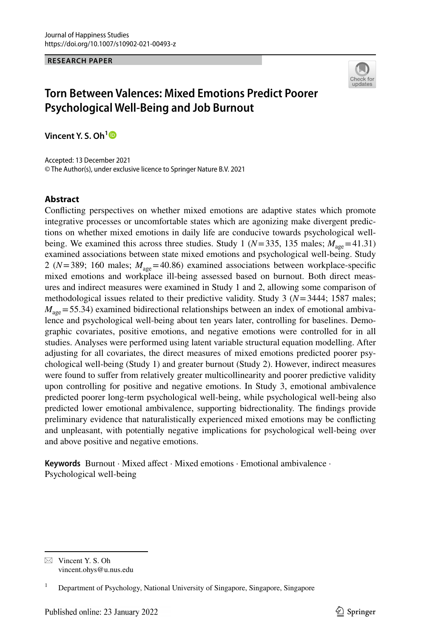#### **RESEARCH PAPER**



# **Torn Between Valences: Mixed Emotions Predict Poorer Psychological Well‑Being and Job Burnout**

**Vincent Y. S. Oh[1](http://orcid.org/0000-0002-8712-0341)**

Accepted: 13 December 2021 © The Author(s), under exclusive licence to Springer Nature B.V. 2021

#### **Abstract**

Conficting perspectives on whether mixed emotions are adaptive states which promote integrative processes or uncomfortable states which are agonizing make divergent predictions on whether mixed emotions in daily life are conducive towards psychological wellbeing. We examined this across three studies. Study 1 ( $N=335$ , 135 males;  $M_{\text{age}}=41.31$ ) examined associations between state mixed emotions and psychological well-being. Study 2 ( $N=389$ ; 160 males;  $M_{\text{age}}=40.86$ ) examined associations between workplace-specific mixed emotions and workplace ill-being assessed based on burnout. Both direct measures and indirect measures were examined in Study 1 and 2, allowing some comparison of methodological issues related to their predictive validity. Study 3 (*N*=3444; 1587 males;  $M_{\text{age}}$ =55.34) examined bidirectional relationships between an index of emotional ambivalence and psychological well-being about ten years later, controlling for baselines. Demographic covariates, positive emotions, and negative emotions were controlled for in all studies. Analyses were performed using latent variable structural equation modelling. After adjusting for all covariates, the direct measures of mixed emotions predicted poorer psychological well-being (Study 1) and greater burnout (Study 2). However, indirect measures were found to suffer from relatively greater multicollinearity and poorer predictive validity upon controlling for positive and negative emotions. In Study 3, emotional ambivalence predicted poorer long-term psychological well-being, while psychological well-being also predicted lower emotional ambivalence, supporting bidrectionality. The fndings provide preliminary evidence that naturalistically experienced mixed emotions may be conficting and unpleasant, with potentially negative implications for psychological well-being over and above positive and negative emotions.

Keywords Burnout · Mixed affect · Mixed emotions · Emotional ambivalence · Psychological well-being

 $\boxtimes$  Vincent Y. S. Oh vincent.ohys@u.nus.edu

<sup>&</sup>lt;sup>1</sup> Department of Psychology, National University of Singapore, Singapore, Singapore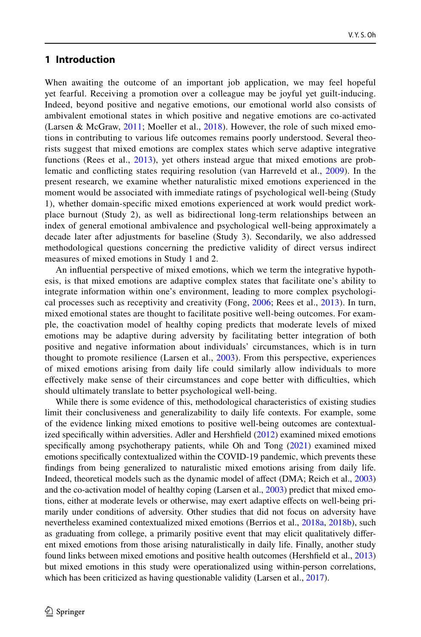### **1 Introduction**

When awaiting the outcome of an important job application, we may feel hopeful yet fearful. Receiving a promotion over a colleague may be joyful yet guilt-inducing. Indeed, beyond positive and negative emotions, our emotional world also consists of ambivalent emotional states in which positive and negative emotions are co-activated (Larsen & McGraw, [2011;](#page-27-0) Moeller et al.,  $2018$ ). However, the role of such mixed emotions in contributing to various life outcomes remains poorly understood. Several theorists suggest that mixed emotions are complex states which serve adaptive integrative functions (Rees et al.,  $2013$ ), yet others instead argue that mixed emotions are problematic and conficting states requiring resolution (van Harreveld et al., [2009\)](#page-29-0). In the present research, we examine whether naturalistic mixed emotions experienced in the moment would be associated with immediate ratings of psychological well-being (Study 1), whether domain-specifc mixed emotions experienced at work would predict workplace burnout (Study 2), as well as bidirectional long-term relationships between an index of general emotional ambivalence and psychological well-being approximately a decade later after adjustments for baseline (Study 3). Secondarily, we also addressed methodological questions concerning the predictive validity of direct versus indirect measures of mixed emotions in Study 1 and 2.

An infuential perspective of mixed emotions, which we term the integrative hypothesis, is that mixed emotions are adaptive complex states that facilitate one's ability to integrate information within one's environment, leading to more complex psychological processes such as receptivity and creativity (Fong, [2006;](#page-27-1) Rees et al., [2013\)](#page-28-1). In turn, mixed emotional states are thought to facilitate positive well-being outcomes. For example, the coactivation model of healthy coping predicts that moderate levels of mixed emotions may be adaptive during adversity by facilitating better integration of both positive and negative information about individuals' circumstances, which is in turn thought to promote resilience (Larsen et al., [2003\)](#page-27-2). From this perspective, experiences of mixed emotions arising from daily life could similarly allow individuals to more effectively make sense of their circumstances and cope better with difficulties, which should ultimately translate to better psychological well-being.

While there is some evidence of this, methodological characteristics of existing studies limit their conclusiveness and generalizability to daily life contexts. For example, some of the evidence linking mixed emotions to positive well-being outcomes are contextualized specifcally within adversities. Adler and Hershfeld [\(2012](#page-25-0)) examined mixed emotions specifcally among psychotherapy patients, while Oh and Tong ([2021\)](#page-28-2) examined mixed emotions specifcally contextualized within the COVID-19 pandemic, which prevents these fndings from being generalized to naturalistic mixed emotions arising from daily life. Indeed, theoretical models such as the dynamic model of afect (DMA; Reich et al., [2003](#page-28-3)) and the co-activation model of healthy coping (Larsen et al., [2003](#page-27-2)) predict that mixed emotions, either at moderate levels or otherwise, may exert adaptive efects on well-being primarily under conditions of adversity. Other studies that did not focus on adversity have nevertheless examined contextualized mixed emotions (Berrios et al., [2018a](#page-26-0), [2018b](#page-26-1)), such as graduating from college, a primarily positive event that may elicit qualitatively diferent mixed emotions from those arising naturalistically in daily life. Finally, another study found links between mixed emotions and positive health outcomes (Hershfeld et al., [2013](#page-27-3)) but mixed emotions in this study were operationalized using within-person correlations, which has been criticized as having questionable validity (Larsen et al., [2017\)](#page-27-4).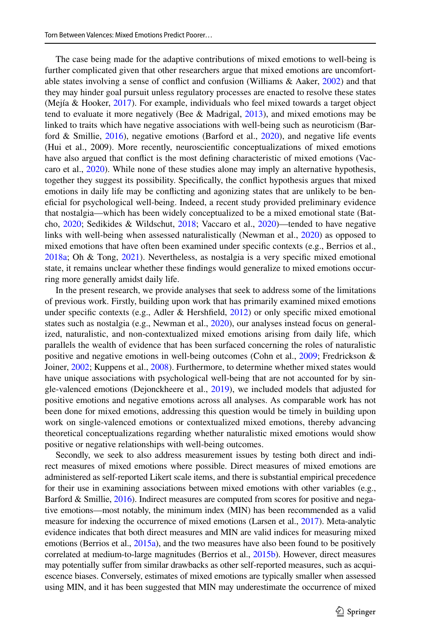The case being made for the adaptive contributions of mixed emotions to well-being is further complicated given that other researchers argue that mixed emotions are uncomfortable states involving a sense of confict and confusion (Williams & Aaker, [2002\)](#page-29-1) and that they may hinder goal pursuit unless regulatory processes are enacted to resolve these states (Mejía & Hooker, [2017](#page-28-4)). For example, individuals who feel mixed towards a target object tend to evaluate it more negatively (Bee & Madrigal,  $2013$ ), and mixed emotions may be linked to traits which have negative associations with well-being such as neuroticism (Barford & Smillie,  $2016$ ), negative emotions (Barford et al.,  $2020$ ), and negative life events (Hui et al., 2009). More recently, neuroscientifc conceptualizations of mixed emotions have also argued that confict is the most defning characteristic of mixed emotions (Vaccaro et al., [2020](#page-29-2)). While none of these studies alone may imply an alternative hypothesis, together they suggest its possibility. Specifcally, the confict hypothesis argues that mixed emotions in daily life may be conficting and agonizing states that are unlikely to be benefcial for psychological well-being. Indeed, a recent study provided preliminary evidence that nostalgia—which has been widely conceptualized to be a mixed emotional state (Batcho, [2020;](#page-25-3) Sedikides & Wildschut, [2018;](#page-29-3) Vaccaro et al., [2020](#page-29-2))—tended to have negative links with well-being when assessed naturalistically (Newman et al., [2020](#page-28-5)) as opposed to mixed emotions that have often been examined under specifc contexts (e.g., Berrios et al., [2018a;](#page-26-0) Oh & Tong, [2021\)](#page-28-2). Nevertheless, as nostalgia is a very specifc mixed emotional state, it remains unclear whether these fndings would generalize to mixed emotions occurring more generally amidst daily life.

In the present research, we provide analyses that seek to address some of the limitations of previous work. Firstly, building upon work that has primarily examined mixed emotions under specific contexts (e.g., Adler & Hershfield,  $2012$ ) or only specific mixed emotional states such as nostalgia (e.g., Newman et al., [2020](#page-28-5)), our analyses instead focus on generalized, naturalistic, and non-contextualized mixed emotions arising from daily life, which parallels the wealth of evidence that has been surfaced concerning the roles of naturalistic positive and negative emotions in well-being outcomes (Cohn et al., [2009](#page-26-3); Fredrickson & Joiner, [2002](#page-27-5); Kuppens et al., [2008](#page-27-6)). Furthermore, to determine whether mixed states would have unique associations with psychological well-being that are not accounted for by single-valenced emotions (Dejonckheere et al., [2019](#page-26-4)), we included models that adjusted for positive emotions and negative emotions across all analyses. As comparable work has not been done for mixed emotions, addressing this question would be timely in building upon work on single-valenced emotions or contextualized mixed emotions, thereby advancing theoretical conceptualizations regarding whether naturalistic mixed emotions would show positive or negative relationships with well-being outcomes.

Secondly, we seek to also address measurement issues by testing both direct and indirect measures of mixed emotions where possible. Direct measures of mixed emotions are administered as self-reported Likert scale items, and there is substantial empirical precedence for their use in examining associations between mixed emotions with other variables (e.g., Barford & Smillie, [2016\)](#page-25-1). Indirect measures are computed from scores for positive and negative emotions—most notably, the minimum index (MIN) has been recommended as a valid measure for indexing the occurrence of mixed emotions (Larsen et al., [2017](#page-27-4)). Meta-analytic evidence indicates that both direct measures and MIN are valid indices for measuring mixed emotions (Berrios et al., [2015a\)](#page-26-5), and the two measures have also been found to be positively correlated at medium-to-large magnitudes (Berrios et al., [2015b\)](#page-26-6). However, direct measures may potentially sufer from similar drawbacks as other self-reported measures, such as acquiescence biases. Conversely, estimates of mixed emotions are typically smaller when assessed using MIN, and it has been suggested that MIN may underestimate the occurrence of mixed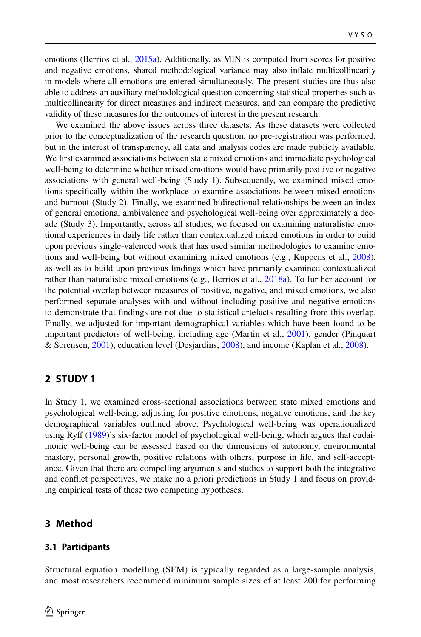emotions (Berrios et al., [2015a\)](#page-26-5). Additionally, as MIN is computed from scores for positive and negative emotions, shared methodological variance may also infate multicollinearity in models where all emotions are entered simultaneously. The present studies are thus also able to address an auxiliary methodological question concerning statistical properties such as multicollinearity for direct measures and indirect measures, and can compare the predictive validity of these measures for the outcomes of interest in the present research.

We examined the above issues across three datasets. As these datasets were collected prior to the conceptualization of the research question, no pre-registration was performed, but in the interest of transparency, all data and analysis codes are made publicly available. We frst examined associations between state mixed emotions and immediate psychological well-being to determine whether mixed emotions would have primarily positive or negative associations with general well-being (Study 1). Subsequently, we examined mixed emotions specifcally within the workplace to examine associations between mixed emotions and burnout (Study 2). Finally, we examined bidirectional relationships between an index of general emotional ambivalence and psychological well-being over approximately a decade (Study 3). Importantly, across all studies, we focused on examining naturalistic emotional experiences in daily life rather than contextualized mixed emotions in order to build upon previous single-valenced work that has used similar methodologies to examine emotions and well-being but without examining mixed emotions (e.g., Kuppens et al., [2008](#page-27-6)), as well as to build upon previous fndings which have primarily examined contextualized rather than naturalistic mixed emotions (e.g., Berrios et al., [2018a](#page-26-0)). To further account for the potential overlap between measures of positive, negative, and mixed emotions, we also performed separate analyses with and without including positive and negative emotions to demonstrate that fndings are not due to statistical artefacts resulting from this overlap. Finally, we adjusted for important demographical variables which have been found to be important predictors of well-being, including age (Martin et al., [2001](#page-28-6)), gender (Pinquart & Sorensen, [2001](#page-28-7)), education level (Desjardins, [2008](#page-26-7)), and income (Kaplan et al., [2008\)](#page-27-7).

## **2 STUDY 1**

In Study 1, we examined cross-sectional associations between state mixed emotions and psychological well-being, adjusting for positive emotions, negative emotions, and the key demographical variables outlined above. Psychological well-being was operationalized using Ryf [\(1989](#page-29-4))'s six-factor model of psychological well-being, which argues that eudaimonic well-being can be assessed based on the dimensions of autonomy, environmental mastery, personal growth, positive relations with others, purpose in life, and self-acceptance. Given that there are compelling arguments and studies to support both the integrative and confict perspectives, we make no a priori predictions in Study 1 and focus on providing empirical tests of these two competing hypotheses.

## **3 Method**

### **3.1 Participants**

Structural equation modelling (SEM) is typically regarded as a large-sample analysis, and most researchers recommend minimum sample sizes of at least 200 for performing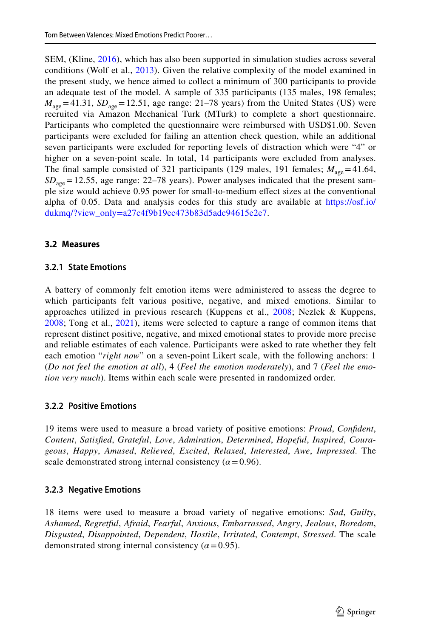SEM, (Kline, [2016\)](#page-27-8), which has also been supported in simulation studies across several conditions (Wolf et al., [2013](#page-29-5)). Given the relative complexity of the model examined in the present study, we hence aimed to collect a minimum of 300 participants to provide an adequate test of the model. A sample of 335 participants (135 males, 198 females;  $M_{\text{age}}$ =41.31,  $SD_{\text{age}}$ =12.51, age range: 21–78 years) from the United States (US) were recruited via Amazon Mechanical Turk (MTurk) to complete a short questionnaire. Participants who completed the questionnaire were reimbursed with USD\$1.00. Seven participants were excluded for failing an attention check question, while an additional seven participants were excluded for reporting levels of distraction which were "4" or higher on a seven-point scale. In total, 14 participants were excluded from analyses. The final sample consisted of 321 participants (129 males, 191 females;  $M_{\text{age}} = 41.64$ ,  $SD<sub>age</sub> = 12.55$ , age range: 22–78 years). Power analyses indicated that the present sample size would achieve 0.95 power for small-to-medium efect sizes at the conventional alpha of 0.05. Data and analysis codes for this study are available at [https://osf.io/](https://osf.io/dukmq/?view_only=a27c4f9b19ec473b83d5adc94615e2e7) [dukmq/?view\\_only=a27c4f9b19ec473b83d5adc94615e2e7.](https://osf.io/dukmq/?view_only=a27c4f9b19ec473b83d5adc94615e2e7)

#### **3.2 Measures**

#### **3.2.1 State Emotions**

A battery of commonly felt emotion items were administered to assess the degree to which participants felt various positive, negative, and mixed emotions. Similar to approaches utilized in previous research (Kuppens et al., [2008;](#page-27-6) Nezlek & Kuppens, [2008](#page-28-8); Tong et al., [2021](#page-29-6)), items were selected to capture a range of common items that represent distinct positive, negative, and mixed emotional states to provide more precise and reliable estimates of each valence. Participants were asked to rate whether they felt each emotion "*right now*" on a seven-point Likert scale, with the following anchors: 1 (*Do not feel the emotion at all*), 4 (*Feel the emotion moderately*), and 7 (*Feel the emotion very much*). Items within each scale were presented in randomized order.

### **3.2.2 Positive Emotions**

19 items were used to measure a broad variety of positive emotions: *Proud*, *Confdent*, *Content*, *Satisfed*, *Grateful*, *Love*, *Admiration*, *Determined*, *Hopeful*, *Inspired*, *Courageous*, *Happy*, *Amused*, *Relieved*, *Excited*, *Relaxed*, *Interested*, *Awe*, *Impressed*. The scale demonstrated strong internal consistency  $(a=0.96)$ .

#### **3.2.3 Negative Emotions**

18 items were used to measure a broad variety of negative emotions: *Sad*, *Guilty*, *Ashamed*, *Regretful*, *Afraid*, *Fearful*, *Anxious*, *Embarrassed*, *Angry*, *Jealous*, *Boredom*, *Disgusted*, *Disappointed*, *Dependent*, *Hostile*, *Irritated*, *Contempt*, *Stressed*. The scale demonstrated strong internal consistency  $(a=0.95)$ .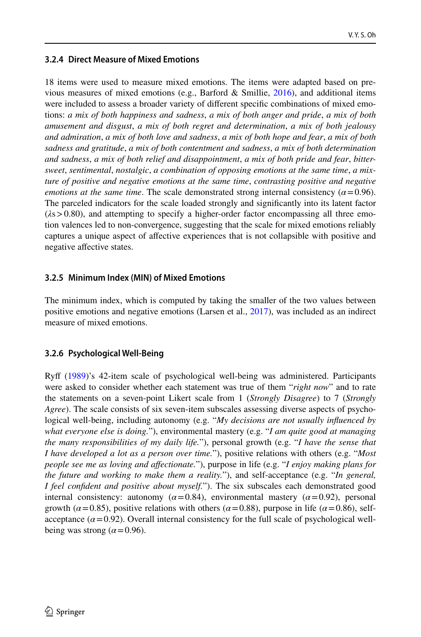### **3.2.4 Direct Measure of Mixed Emotions**

18 items were used to measure mixed emotions. The items were adapted based on previous measures of mixed emotions (e.g., Barford & Smillie,  $2016$ ), and additional items were included to assess a broader variety of diferent specifc combinations of mixed emotions: *a mix of both happiness and sadness*, *a mix of both anger and pride*, *a mix of both amusement and disgust*, *a mix of both regret and determination*, *a mix of both jealousy and admiration*, *a mix of both love and sadness*, *a mix of both hope and fear*, *a mix of both sadness and gratitude*, *a mix of both contentment and sadness*, *a mix of both determination and sadness*, *a mix of both relief and disappointment*, *a mix of both pride and fear*, *bittersweet*, *sentimental*, *nostalgic*, *a combination of opposing emotions at the same time*, *a mixture of positive and negative emotions at the same time*, *contrasting positive and negative emotions at the same time.* The scale demonstrated strong internal consistency ( $\alpha$ =0.96). The parceled indicators for the scale loaded strongly and signifcantly into its latent factor (*λ*s>0.80), and attempting to specify a higher-order factor encompassing all three emotion valences led to non-convergence, suggesting that the scale for mixed emotions reliably captures a unique aspect of afective experiences that is not collapsible with positive and negative afective states.

### **3.2.5 Minimum Index (MIN) of Mixed Emotions**

The minimum index, which is computed by taking the smaller of the two values between positive emotions and negative emotions (Larsen et al., [2017](#page-27-4)), was included as an indirect measure of mixed emotions.

## **3.2.6 Psychological Well‑Being**

Ryf ([1989\)](#page-29-4)'s 42-item scale of psychological well-being was administered. Participants were asked to consider whether each statement was true of them "*right now*" and to rate the statements on a seven-point Likert scale from 1 (*Strongly Disagree*) to 7 (*Strongly Agree*). The scale consists of six seven-item subscales assessing diverse aspects of psychological well-being, including autonomy (e.g. "*My decisions are not usually infuenced by what everyone else is doing.*"), environmental mastery (e.g. "*I am quite good at managing the many responsibilities of my daily life.*"), personal growth (e.g. "*I have the sense that I have developed a lot as a person over time.*"), positive relations with others (e.g. "*Most people see me as loving and afectionate.*"), purpose in life (e.g. "*I enjoy making plans for the future and working to make them a reality.*"), and self-acceptance (e.g. "*In general, I feel confdent and positive about myself.*"). The six subscales each demonstrated good internal consistency: autonomy ( $\alpha$ =0.84), environmental mastery ( $\alpha$ =0.92), personal growth ( $\alpha$ =0.85), positive relations with others ( $\alpha$ =0.88), purpose in life ( $\alpha$ =0.86), selfacceptance  $(a=0.92)$ . Overall internal consistency for the full scale of psychological wellbeing was strong  $(\alpha = 0.96)$ .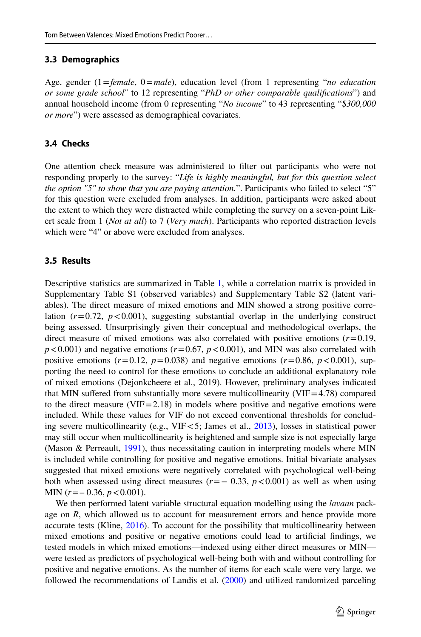#### **3.3 Demographics**

Age, gender (1=*female*, 0=*male*), education level (from 1 representing "*no education or some grade school*" to 12 representing "*PhD or other comparable qualifcations*") and annual household income (from 0 representing "*No income*" to 43 representing "*\$300,000 or more*") were assessed as demographical covariates.

#### **3.4 Checks**

One attention check measure was administered to flter out participants who were not responding properly to the survey: "*Life is highly meaningful, but for this question select the option "5" to show that you are paying attention.*". Participants who failed to select "5" for this question were excluded from analyses. In addition, participants were asked about the extent to which they were distracted while completing the survey on a seven-point Likert scale from 1 (*Not at all*) to 7 (*Very much*). Participants who reported distraction levels which were "4" or above were excluded from analyses.

### **3.5 Results**

Descriptive statistics are summarized in Table [1,](#page-7-0) while a correlation matrix is provided in Supplementary Table S1 (observed variables) and Supplementary Table S2 (latent variables). The direct measure of mixed emotions and MIN showed a strong positive correlation  $(r=0.72, p<0.001)$ , suggesting substantial overlap in the underlying construct being assessed. Unsurprisingly given their conceptual and methodological overlaps, the direct measure of mixed emotions was also correlated with positive emotions  $(r=0.19)$ ,  $p < 0.001$ ) and negative emotions ( $r = 0.67$ ,  $p < 0.001$ ), and MIN was also correlated with positive emotions  $(r=0.12, p=0.038)$  and negative emotions  $(r=0.86, p<0.001)$ , supporting the need to control for these emotions to conclude an additional explanatory role of mixed emotions (Dejonkcheere et al., 2019). However, preliminary analyses indicated that MIN suffered from substantially more severe multicollinearity ( $VIF = 4.78$ ) compared to the direct measure (VIF=2.18) in models where positive and negative emotions were included. While these values for VIF do not exceed conventional thresholds for concluding severe multicollinearity (e.g., VIF<5; James et al., [2013](#page-27-9)), losses in statistical power may still occur when multicollinearity is heightened and sample size is not especially large (Mason & Perreault, [1991](#page-28-9)), thus necessitating caution in interpreting models where MIN is included while controlling for positive and negative emotions. Initial bivariate analyses suggested that mixed emotions were negatively correlated with psychological well-being both when assessed using direct measures ( $r = -0.33$ ,  $p < 0.001$ ) as well as when using MIN (*r*=– 0.36, *p*<0.001).

We then performed latent variable structural equation modelling using the *lavaan* package on *R*, which allowed us to account for measurement errors and hence provide more accurate tests (Kline, [2016](#page-27-8)). To account for the possibility that multicollinearity between mixed emotions and positive or negative emotions could lead to artifcial fndings, we tested models in which mixed emotions—indexed using either direct measures or MIN were tested as predictors of psychological well-being both with and without controlling for positive and negative emotions. As the number of items for each scale were very large, we followed the recommendations of Landis et al. ([2000\)](#page-27-10) and utilized randomized parceling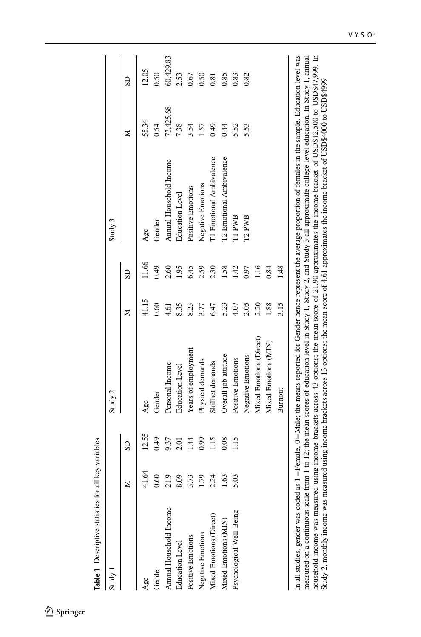<span id="page-7-0"></span>

| Study 1                  |           |                       | Study 2                 |       |       | Study 3                  |           |           |
|--------------------------|-----------|-----------------------|-------------------------|-------|-------|--------------------------|-----------|-----------|
|                          | ⊠         | $\overline{\text{c}}$ |                         | Z     | SD    |                          | ⋝         | SD        |
| Age                      | Ş         | 12.55                 | Age                     | 41.15 | 11.66 | Age                      | 55.34     | 12.05     |
| Gender                   | 0.60      | 0.49                  | Gender                  | 0.60  | 0.49  | Gender                   | 0.54      | 0.50      |
| Annual Household Income  | C.        | 9.37                  | Personal Income         | 4.61  | 2.60  | Annual Household Income  | 73,425.68 | 60,429.83 |
| <b>Education Level</b>   | 8.09      | 2.01                  | <b>Education Level</b>  | 8.35  | 1.95  | <b>Education Level</b>   | 7.38      | 2.53      |
| Positive Emotions        | نى<br>3.7 | 1.44                  | Years of employment     | 8.23  | 6.45  | Positive Emotions        | 3.54      | 0.67      |
| Negative Emotions        | ō<br>1.7  | 0.99                  | Physical demands        | 3.77  | 2.59  | Negative Emotions        | 1.57      | 0.50      |
| Mixed Emotions (Direct)  | 4<br>2.2  | 1.15                  | Skillset demands        | 6.47  | 2.30  | T1 Emotional Ambivalence | 64.0      | 0.81      |
| Mixed Emotions (MIN)     | 1.63      | 0.08                  | Overall job attitude    | 5.23  | 1.58  | T2 Emotional Ambivalence | 0.44      | 0.85      |
| Psychological Well-Being | ā         | 1.15                  | Positive Emotions       | 4.07  | 1.42  | T1 PWB                   | 5.52      | 0.83      |
|                          |           |                       | Negative Emotions       | 2.05  | 0.97  | T <sub>2</sub> PWB       | 5.53      | 0.82      |
|                          |           |                       | Mixed Emotions (Direct) | 2.20  | 16    |                          |           |           |
|                          |           |                       | Mixed Emotions (MIN)    | .88   | 0.84  |                          |           |           |
|                          |           |                       | Burnout                 | 3.15  | 1.48  |                          |           |           |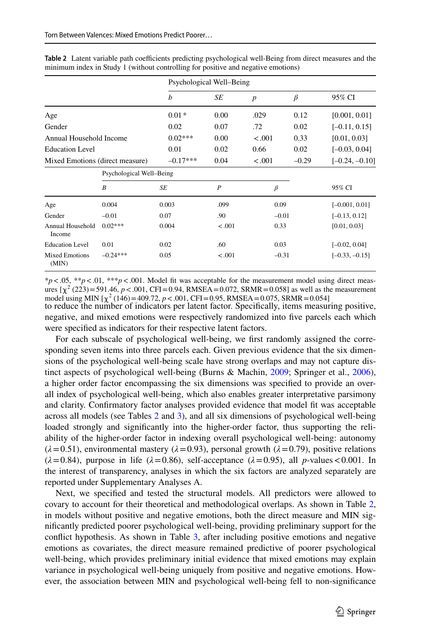|                                 |                          |            | Psychological Well-Being |                  |         |                  |
|---------------------------------|--------------------------|------------|--------------------------|------------------|---------|------------------|
|                                 |                          | b          | SE                       | $\boldsymbol{p}$ | $\beta$ | 95% CI           |
| Age                             |                          | $0.01*$    | 0.00                     | .029             | 0.12    | [0.001, 0.01]    |
| Gender                          |                          | 0.02       | 0.07                     | .72              | 0.02    | $[-0.11, 0.15]$  |
| Annual Household Income         |                          | $0.02***$  | 0.00                     | $-.001$          | 0.33    | [0.01, 0.03]     |
| <b>Education Level</b>          |                          | 0.01       | 0.02                     | 0.66             | 0.02    | $[-0.03, 0.04]$  |
| Mixed Emotions (direct measure) |                          | $-0.17***$ | 0.04                     | $-.001$          | $-0.29$ | $[-0.24, -0.10]$ |
|                                 | Psychological Well-Being |            |                          |                  |         |                  |
|                                 | $\boldsymbol{B}$         | SE         | $\boldsymbol{P}$         | $\beta$          |         | 95% CI           |
| Age                             | 0.004                    | 0.003      | .099                     | 0.09             |         | $[-0.001, 0.01]$ |
| Gender                          | $-0.01$                  | 0.07       | .90                      | $-0.01$          |         | $[-0.13, 0.12]$  |
| Annual Household<br>Income      | $0.02***$                | 0.004      | $-.001$                  | 0.33             |         | [0.01, 0.03]     |
| <b>Education Level</b>          | 0.01                     | 0.02       | .60                      | 0.03             |         | $[-0.02, 0.04]$  |
| <b>Mixed Emotions</b><br>(MIN)  | $-0.24***$               | 0.05       | $-.001$                  | $-0.31$          |         | $[-0.33, -0.15]$ |

<span id="page-8-0"></span>Table 2 Latent variable path coefficients predicting psychological well-Being from direct measures and the minimum index in Study 1 (without controlling for positive and negative emotions)

to reduce the number of indicators per latent factor. Specifcally, items measuring positive, negative, and mixed emotions were respectively randomized into fve parcels each which  $*p$ <.05,  $**p$ <.01,  $***p$ <.001. Model fit was acceptable for the measurement model using direct measures  $[\chi^2 (223) = 591.46, p < .001, CFI = 0.94, RMSEA = 0.072, SRMR = 0.058]$  as well as the measurement model using MIN  $[\chi^2(146) = 409.72, p < .001, CFI = 0.95, RMSEA = 0.075, SRMR = 0.054]$ 

were specifed as indicators for their respective latent factors.

For each subscale of psychological well-being, we frst randomly assigned the corresponding seven items into three parcels each. Given previous evidence that the six dimensions of the psychological well-being scale have strong overlaps and may not capture distinct aspects of psychological well-being (Burns & Machin, [2009](#page-26-8); Springer et al., [2006](#page-29-7)), a higher order factor encompassing the six dimensions was specifed to provide an overall index of psychological well-being, which also enables greater interpretative parsimony and clarity. Confrmatory factor analyses provided evidence that model ft was acceptable across all models (see Tables [2](#page-8-0) and [3\)](#page-9-0), and all six dimensions of psychological well-being loaded strongly and signifcantly into the higher-order factor, thus supporting the reliability of the higher-order factor in indexing overall psychological well-being: autonomy  $(\lambda = 0.51)$ , environmental mastery  $(\lambda = 0.93)$ , personal growth  $(\lambda = 0.79)$ , positive relations  $(\lambda = 0.84)$ , purpose in life ( $\lambda = 0.86$ ), self-acceptance ( $\lambda = 0.95$ ), all *p*-values <0.001. In the interest of transparency, analyses in which the six factors are analyzed separately are reported under Supplementary Analyses A.

Next, we specifed and tested the structural models. All predictors were allowed to covary to account for their theoretical and methodological overlaps. As shown in Table [2](#page-8-0), in models without positive and negative emotions, both the direct measure and MIN signifcantly predicted poorer psychological well-being, providing preliminary support for the confict hypothesis. As shown in Table [3,](#page-9-0) after including positive emotions and negative emotions as covariates, the direct measure remained predictive of poorer psychological well-being, which provides preliminary initial evidence that mixed emotions may explain variance in psychological well-being uniquely from positive and negative emotions. However, the association between MIN and psychological well-being fell to non-signifcance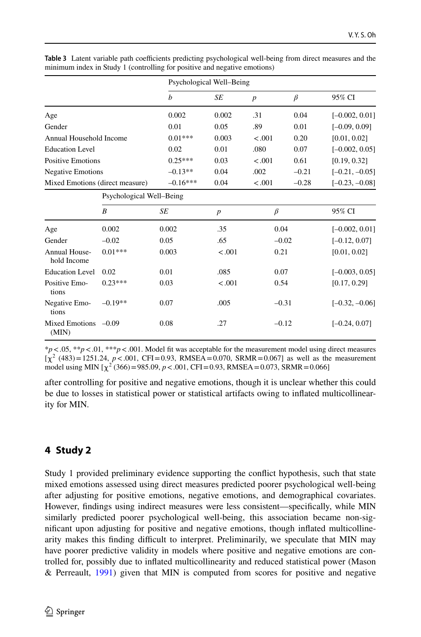|                                 |                          |            | Psychological Well-Being |                  |         |                  |
|---------------------------------|--------------------------|------------|--------------------------|------------------|---------|------------------|
|                                 |                          | b          | SE                       | $\boldsymbol{p}$ | $\beta$ | 95% CI           |
| Age                             |                          | 0.002      | 0.002                    | .31              | 0.04    | $[-0.002, 0.01]$ |
| Gender                          |                          | 0.01       | 0.05                     | .89              | 0.01    | $[-0.09, 0.09]$  |
| Annual Household Income         |                          | $0.01***$  | 0.003                    | < .001           | 0.20    | [0.01, 0.02]     |
| <b>Education Level</b>          |                          | 0.02       | 0.01                     | .080             | 0.07    | $[-0.002, 0.05]$ |
| <b>Positive Emotions</b>        |                          | $0.25***$  | 0.03                     | < .001           | 0.61    | [0.19, 0.32]     |
| <b>Negative Emotions</b>        |                          | $-0.13**$  | 0.04                     | .002             | $-0.21$ | $[-0.21, -0.05]$ |
| Mixed Emotions (direct measure) |                          | $-0.16***$ | 0.04                     | < .001           | $-0.28$ | $[-0.23, -0.08]$ |
|                                 | Psychological Well-Being |            |                          |                  |         |                  |
|                                 | B                        | SE         | $\boldsymbol{p}$         | $\beta$          |         | 95% CI           |
| Age                             | 0.002                    | 0.002      | .35                      | 0.04             |         | $[-0.002, 0.01]$ |
| Gender                          | $-0.02$                  | 0.05       | .65                      |                  | $-0.02$ | $[-0.12, 0.07]$  |
| Annual House-<br>hold Income    | $0.01***$                | 0.003      | < .001                   | 0.21             |         | [0.01, 0.02]     |
| <b>Education Level</b>          | 0.02                     | 0.01       | .085                     | 0.07             |         | $[-0.003, 0.05]$ |
| Positive Emo-<br>tions          | $0.23***$                | 0.03       | < .001                   | 0.54             |         | [0.17, 0.29]     |
| Negative Emo-<br>tions          | $-0.19**$                | 0.07       | .005                     |                  | $-0.31$ | $[-0.32, -0.06]$ |
| Mixed Emotions<br>(MIN)         | $-0.09$                  | 0.08       | .27                      |                  | $-0.12$ | $[-0.24, 0.07]$  |

<span id="page-9-0"></span>**Table 3** Latent variable path coefficients predicting psychological well-being from direct measures and the minimum index in Study 1 (controlling for positive and negative emotions)

\**p*<.05, \*\**p*<.01, \*\*\**p*<.001. Model ft was acceptable for the measurement model using direct measures  $[\chi^2 (483) = 1251.24, p < .001, CFI = 0.93, RMSEA = 0.070, SRMR = 0.067]$  as well as the measurement model using MIN  $[\chi^2(366) = 985.09, p < .001, CFI = 0.93, RMSEA = 0.073, SRMR = 0.066]$ 

after controlling for positive and negative emotions, though it is unclear whether this could be due to losses in statistical power or statistical artifacts owing to infated multicollinearity for MIN.

## **4 Study 2**

Study 1 provided preliminary evidence supporting the confict hypothesis, such that state mixed emotions assessed using direct measures predicted poorer psychological well-being after adjusting for positive emotions, negative emotions, and demographical covariates. However, fndings using indirect measures were less consistent—specifcally, while MIN similarly predicted poorer psychological well-being, this association became non-signifcant upon adjusting for positive and negative emotions, though infated multicollinearity makes this finding difficult to interpret. Preliminarily, we speculate that MIN may have poorer predictive validity in models where positive and negative emotions are controlled for, possibly due to infated multicollinearity and reduced statistical power (Mason & Perreault, [1991](#page-28-9)) given that MIN is computed from scores for positive and negative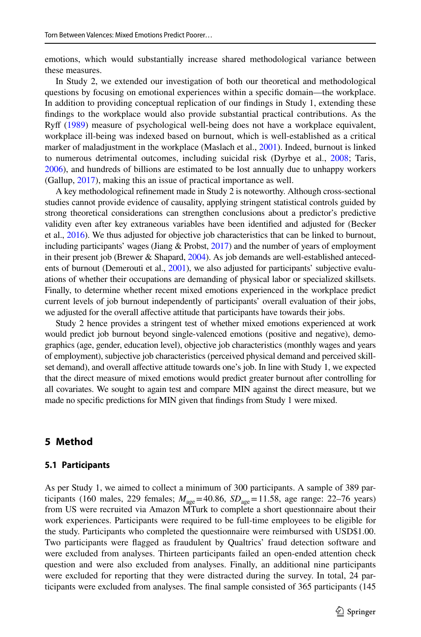emotions, which would substantially increase shared methodological variance between these measures.

In Study 2, we extended our investigation of both our theoretical and methodological questions by focusing on emotional experiences within a specifc domain—the workplace. In addition to providing conceptual replication of our fndings in Study 1, extending these fndings to the workplace would also provide substantial practical contributions. As the Ryf [\(1989](#page-29-4)) measure of psychological well-being does not have a workplace equivalent, workplace ill-being was indexed based on burnout, which is well-established as a critical marker of maladjustment in the workplace (Maslach et al., [2001\)](#page-28-10). Indeed, burnout is linked to numerous detrimental outcomes, including suicidal risk (Dyrbye et al., [2008](#page-26-9); Taris, [2006\)](#page-29-8), and hundreds of billions are estimated to be lost annually due to unhappy workers (Gallup, [2017\)](#page-27-11), making this an issue of practical importance as well.

A key methodological refnement made in Study 2 is noteworthy. Although cross-sectional studies cannot provide evidence of causality, applying stringent statistical controls guided by strong theoretical considerations can strengthen conclusions about a predictor's predictive validity even after key extraneous variables have been identifed and adjusted for (Becker et al., [2016](#page-25-4)). We thus adjusted for objective job characteristics that can be linked to burnout, including participants' wages (Jiang & Probst, [2017\)](#page-27-12) and the number of years of employment in their present job (Brewer & Shapard, [2004\)](#page-26-10). As job demands are well-established anteced-ents of burnout (Demerouti et al., [2001](#page-26-11)), we also adjusted for participants' subjective evaluations of whether their occupations are demanding of physical labor or specialized skillsets. Finally, to determine whether recent mixed emotions experienced in the workplace predict current levels of job burnout independently of participants' overall evaluation of their jobs, we adjusted for the overall affective attitude that participants have towards their jobs.

Study 2 hence provides a stringent test of whether mixed emotions experienced at work would predict job burnout beyond single-valenced emotions (positive and negative), demographics (age, gender, education level), objective job characteristics (monthly wages and years of employment), subjective job characteristics (perceived physical demand and perceived skillset demand), and overall afective attitude towards one's job. In line with Study 1, we expected that the direct measure of mixed emotions would predict greater burnout after controlling for all covariates. We sought to again test and compare MIN against the direct measure, but we made no specifc predictions for MIN given that fndings from Study 1 were mixed.

### **5 Method**

#### **5.1 Participants**

As per Study 1, we aimed to collect a minimum of 300 participants. A sample of 389 participants (160 males, 229 females;  $M_{\text{age}}=40.86$ ,  $SD_{\text{age}}=11.58$ , age range: 22–76 years) from US were recruited via Amazon MTurk to complete a short questionnaire about their work experiences. Participants were required to be full-time employees to be eligible for the study. Participants who completed the questionnaire were reimbursed with USD\$1.00. Two participants were fagged as fraudulent by Qualtrics' fraud detection software and were excluded from analyses. Thirteen participants failed an open-ended attention check question and were also excluded from analyses. Finally, an additional nine participants were excluded for reporting that they were distracted during the survey. In total, 24 participants were excluded from analyses. The fnal sample consisted of 365 participants (145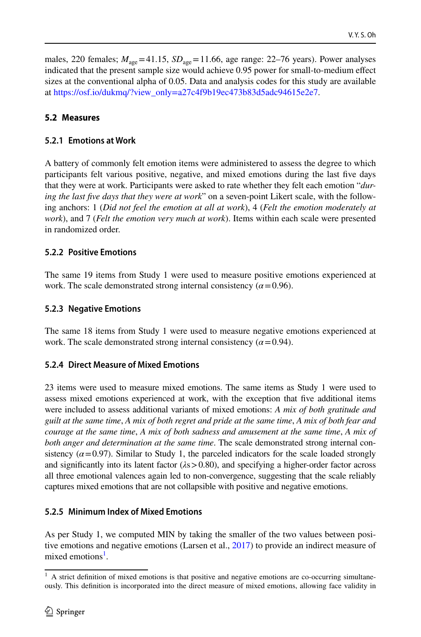males, 220 females;  $M_{\text{age}}$ =41.15,  $SD_{\text{age}}$ =11.66, age range: 22–76 years). Power analyses indicated that the present sample size would achieve 0.95 power for small-to-medium efect sizes at the conventional alpha of 0.05. Data and analysis codes for this study are available at [https://osf.io/dukmq/?view\\_only=a27c4f9b19ec473b83d5adc94615e2e7](https://osf.io/dukmq/?view_only=a27c4f9b19ec473b83d5adc94615e2e7).

## **5.2 Measures**

## **5.2.1 Emotions at Work**

A battery of commonly felt emotion items were administered to assess the degree to which participants felt various positive, negative, and mixed emotions during the last fve days that they were at work. Participants were asked to rate whether they felt each emotion "*during the last fve days that they were at work*" on a seven-point Likert scale, with the following anchors: 1 (*Did not feel the emotion at all at work*), 4 (*Felt the emotion moderately at work*), and 7 (*Felt the emotion very much at work*). Items within each scale were presented in randomized order.

## **5.2.2 Positive Emotions**

The same 19 items from Study 1 were used to measure positive emotions experienced at work. The scale demonstrated strong internal consistency  $(\alpha = 0.96)$ .

## **5.2.3 Negative Emotions**

The same 18 items from Study 1 were used to measure negative emotions experienced at work. The scale demonstrated strong internal consistency  $(\alpha = 0.94)$ .

## **5.2.4 Direct Measure of Mixed Emotions**

23 items were used to measure mixed emotions. The same items as Study 1 were used to assess mixed emotions experienced at work, with the exception that fve additional items were included to assess additional variants of mixed emotions: *A mix of both gratitude and guilt at the same time*, *A mix of both regret and pride at the same time*, *A mix of both fear and courage at the same time*, *A mix of both sadness and amusement at the same time*, *A mix of both anger and determination at the same time*. The scale demonstrated strong internal consistency  $(\alpha = 0.97)$ . Similar to Study 1, the parceled indicators for the scale loaded strongly and signifcantly into its latent factor (*λ*s>0.80), and specifying a higher-order factor across all three emotional valences again led to non-convergence, suggesting that the scale reliably captures mixed emotions that are not collapsible with positive and negative emotions.

## **5.2.5 Minimum Index of Mixed Emotions**

As per Study 1, we computed MIN by taking the smaller of the two values between positive emotions and negative emotions (Larsen et al., [2017](#page-27-4)) to provide an indirect measure of mixed emotions<sup>1</sup>.

<span id="page-11-0"></span><sup>1</sup> A strict defnition of mixed emotions is that positive and negative emotions are co-occurring simultaneously. This defnition is incorporated into the direct measure of mixed emotions, allowing face validity in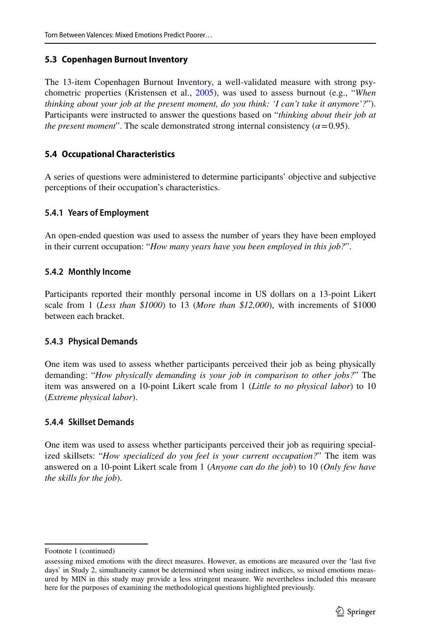### **5.3 Copenhagen Burnout Inventory**

The 13-item Copenhagen Burnout Inventory, a well-validated measure with strong psychometric properties (Kristensen et al., [2005](#page-27-13)), was used to assess burnout (e.g., "*When thinking about your job at the present moment, do you think: 'I can't take it anymore'?*"). Participants were instructed to answer the questions based on "*thinking about their job at the present moment*". The scale demonstrated strong internal consistency ( $\alpha$  = 0.95).

### **5.4 Occupational Characteristics**

A series of questions were administered to determine participants' objective and subjective perceptions of their occupation's characteristics.

### **5.4.1 Years of Employment**

An open-ended question was used to assess the number of years they have been employed in their current occupation: "*How many years have you been employed in this job?*".

### **5.4.2 Monthly Income**

Participants reported their monthly personal income in US dollars on a 13-point Likert scale from 1 (*Less than \$1000*) to 13 (*More than \$12,000*), with increments of \$1000 between each bracket.

### **5.4.3 Physical Demands**

One item was used to assess whether participants perceived their job as being physically demanding: "*How physically demanding is your job in comparison to other jobs?*" The item was answered on a 10-point Likert scale from 1 (*Little to no physical labor*) to 10 (*Extreme physical labor*).

### **5.4.4 Skillset Demands**

One item was used to assess whether participants perceived their job as requiring specialized skillsets: "*How specialized do you feel is your current occupation?*" The item was answered on a 10-point Likert scale from 1 (*Anyone can do the job*) to 10 (*Only few have the skills for the job*).

Footnote 1 (continued)

assessing mixed emotions with the direct measures. However, as emotions are measured over the 'last fve days' in Study 2, simultaneity cannot be determined when using indirect indices, so mixed emotions measured by MIN in this study may provide a less stringent measure. We nevertheless included this measure here for the purposes of examining the methodological questions highlighted previously.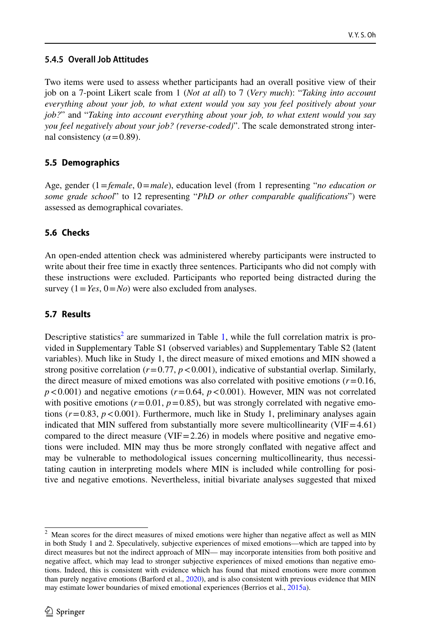## **5.4.5 Overall Job Attitudes**

Two items were used to assess whether participants had an overall positive view of their job on a 7-point Likert scale from 1 (*Not at all*) to 7 (*Very much*): "*Taking into account everything about your job, to what extent would you say you feel positively about your job?*" and "*Taking into account everything about your job, to what extent would you say you feel negatively about your job? (reverse-coded)*". The scale demonstrated strong internal consistency  $(\alpha = 0.89)$ .

## **5.5 Demographics**

Age, gender (1=*female*, 0=*male*), education level (from 1 representing "*no education or some grade school*" to 12 representing "*PhD or other comparable qualifcations*") were assessed as demographical covariates.

## **5.6 Checks**

An open-ended attention check was administered whereby participants were instructed to write about their free time in exactly three sentences. Participants who did not comply with these instructions were excluded. Participants who reported being distracted during the survey  $(1=Yes, 0=No)$  were also excluded from analyses.

## **5.7 Results**

Descriptive statistics<sup>2</sup> are summarized in Table [1](#page-7-0), while the full correlation matrix is provided in Supplementary Table S1 (observed variables) and Supplementary Table S2 (latent variables). Much like in Study 1, the direct measure of mixed emotions and MIN showed a strong positive correlation  $(r=0.77, p<0.001)$ , indicative of substantial overlap. Similarly, the direct measure of mixed emotions was also correlated with positive emotions  $(r=0.16,$  $p < 0.001$ ) and negative emotions ( $r = 0.64$ ,  $p < 0.001$ ). However, MIN was not correlated with positive emotions ( $r=0.01$ ,  $p=0.85$ ), but was strongly correlated with negative emotions  $(r=0.83, p<0.001)$ . Furthermore, much like in Study 1, preliminary analyses again indicated that MIN suffered from substantially more severe multicollinearity  $(VIF=4.61)$ compared to the direct measure (VIF=2.26) in models where positive and negative emotions were included. MIN may thus be more strongly confated with negative afect and may be vulnerable to methodological issues concerning multicollinearity, thus necessitating caution in interpreting models where MIN is included while controlling for positive and negative emotions. Nevertheless, initial bivariate analyses suggested that mixed

<span id="page-13-0"></span><sup>&</sup>lt;sup>2</sup> Mean scores for the direct measures of mixed emotions were higher than negative affect as well as MIN in both Study 1 and 2. Speculatively, subjective experiences of mixed emotions—which are tapped into by direct measures but not the indirect approach of MIN— may incorporate intensities from both positive and negative afect, which may lead to stronger subjective experiences of mixed emotions than negative emotions. Indeed, this is consistent with evidence which has found that mixed emotions were more common than purely negative emotions (Barford et al., [2020](#page-25-2)), and is also consistent with previous evidence that MIN may estimate lower boundaries of mixed emotional experiences (Berrios et al., [2015a\)](#page-26-5).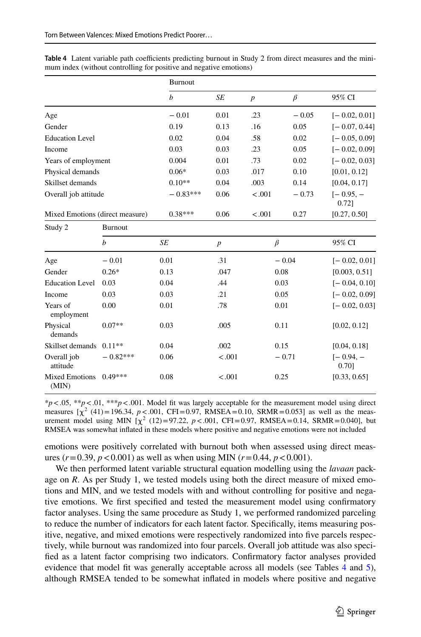|                        |                                 | Burnout    |                  |                  |         |                       |
|------------------------|---------------------------------|------------|------------------|------------------|---------|-----------------------|
|                        |                                 | h          | SE               | $\boldsymbol{p}$ | $\beta$ | 95% CI                |
| Age                    |                                 | $-0.01$    | 0.01             | .23              | $-0.05$ | $[-0.02, 0.01]$       |
| Gender                 |                                 | 0.19       | 0.13             | .16              | 0.05    | $[-0.07, 0.44]$       |
| <b>Education Level</b> |                                 | 0.02       | 0.04             | .58              | 0.02    | $[-0.05, 0.09]$       |
| Income                 |                                 | 0.03       | 0.03             | .23              | 0.05    | $[-0.02, 0.09]$       |
| Years of employment    |                                 | 0.004      | 0.01             | .73              | 0.02    | $[-0.02, 0.03]$       |
| Physical demands       |                                 | $0.06*$    | 0.03             | .017             | 0.10    | [0.01, 0.12]          |
| Skillset demands       |                                 | $0.10**$   | 0.04             | .003             | 0.14    | [0.04, 0.17]          |
| Overall job attitude   |                                 | $-0.83***$ | 0.06             | $-.001$          | $-0.73$ | $[-0.95, -]$<br>0.721 |
|                        | Mixed Emotions (direct measure) | $0.38***$  | 0.06             | $-.001$          | 0.27    | [0.27, 0.50]          |
| Study 2                | <b>Burnout</b>                  |            |                  |                  |         |                       |
|                        | b                               | SE         | $\boldsymbol{p}$ | $\beta$          |         | 95% CI                |
| Age                    | $-0.01$                         | 0.01       | .31              |                  | $-0.04$ | $[-0.02, 0.01]$       |

<span id="page-14-0"></span>**Table 4** Latent variable path coefficients predicting burnout in Study 2 from direct measures and the minimum index (without controlling for positive and negative emotions)

| Study 2                        | <b>Burnout</b> |      |                  |         |                       |
|--------------------------------|----------------|------|------------------|---------|-----------------------|
|                                | h              | SE   | $\boldsymbol{p}$ | $\beta$ | 95% CI                |
| Age                            | $-0.01$        | 0.01 | .31              | $-0.04$ | $[-0.02, 0.01]$       |
| Gender                         | $0.26*$        | 0.13 | .047             | 0.08    | [0.003, 0.51]         |
| <b>Education Level</b>         | 0.03           | 0.04 | .44              | 0.03    | $[-0.04, 0.10]$       |
| Income                         | 0.03           | 0.03 | .21              | 0.05    | $[-0.02, 0.09]$       |
| Years of<br>employment         | 0.00           | 0.01 | .78              | 0.01    | $[-0.02, 0.03]$       |
| Physical<br>demands            | $0.07**$       | 0.03 | .005             | 0.11    | [0.02, 0.12]          |
| Skillset demands               | $0.11**$       | 0.04 | .002             | 0.15    | [0.04, 0.18]          |
| Overall job<br>attitude        | $-0.82***$     | 0.06 | $-.001$          | $-0.71$ | $[-0.94, -]$<br>0.701 |
| <b>Mixed Emotions</b><br>(MIN) | $0.49***$      | 0.08 | $-.001$          | 0.25    | [0.33, 0.65]          |

\**p*<.05, \*\**p*<.01, \*\*\**p*<.001. Model ft was largely acceptable for the measurement model using direct measures  $[\chi^2 (41) = 196.34, p < .001, CFI = 0.97, RMSEA = 0.10, SRMR = 0.053]$  as well as the measurement model using MIN  $\left[\chi^2(12)\right] = 97.22$ ,  $p < .001$ , CFI=0.97, RMSEA=0.14, SRMR=0.040], but RMSEA was somewhat infated in these models where positive and negative emotions were not included

emotions were positively correlated with burnout both when assessed using direct measures ( $r = 0.39$ ,  $p < 0.001$ ) as well as when using MIN ( $r = 0.44$ ,  $p < 0.001$ ).

We then performed latent variable structural equation modelling using the *lavaan* package on *R*. As per Study 1, we tested models using both the direct measure of mixed emotions and MIN, and we tested models with and without controlling for positive and negative emotions. We frst specifed and tested the measurement model using confrmatory factor analyses. Using the same procedure as Study 1, we performed randomized parceling to reduce the number of indicators for each latent factor. Specifcally, items measuring positive, negative, and mixed emotions were respectively randomized into fve parcels respectively, while burnout was randomized into four parcels. Overall job attitude was also specifed as a latent factor comprising two indicators. Confrmatory factor analyses provided evidence that model fit was generally acceptable across all models (see Tables [4](#page-14-0) and [5](#page-15-0)), although RMSEA tended to be somewhat infated in models where positive and negative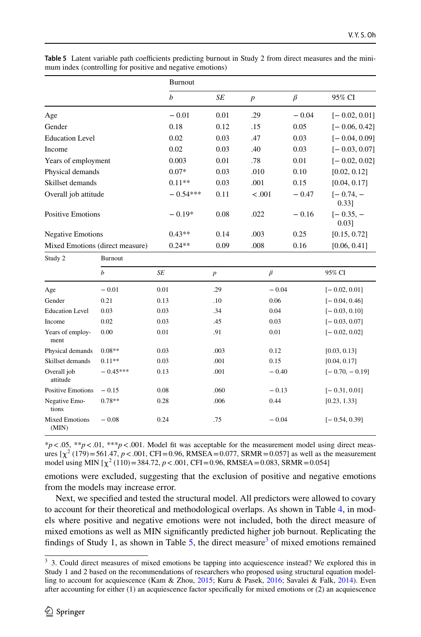|                                 |                  | Burnout          |                |                  |         |                       |
|---------------------------------|------------------|------------------|----------------|------------------|---------|-----------------------|
|                                 |                  | $\boldsymbol{b}$ | <b>SE</b>      | $\boldsymbol{p}$ | $\beta$ | 95% CI                |
| Age                             |                  | $-0.01$          | 0.01           | .29              | $-0.04$ | $[-0.02, 0.01]$       |
| Gender                          |                  | 0.18             | 0.12           | .15              | 0.05    | $[-0.06, 0.42]$       |
| <b>Education Level</b>          |                  | 0.02             | 0.03           | .47              | 0.03    | $[-0.04, 0.09]$       |
| Income                          |                  | 0.02             | 0.03           | .40              | 0.03    | $[-0.03, 0.07]$       |
| Years of employment             |                  | 0.003            | 0.01           | .78              | 0.01    | $[-0.02, 0.02]$       |
| Physical demands                |                  | $0.07*$          | 0.03           | .010             | 0.10    | [0.02, 0.12]          |
| Skillset demands                |                  | $0.11**$         | 0.03           | .001             | 0.15    | [0.04, 0.17]          |
| Overall job attitude            |                  | $-0.54***$       | 0.11           | < .001           | $-0.47$ | $[-0.74, -]$<br>0.33] |
| <b>Positive Emotions</b>        |                  | $-0.19*$         | 0.08           | .022             | $-0.16$ | $[-0.35, -]$<br>0.031 |
| <b>Negative Emotions</b>        |                  | $0.43**$         | 0.14           | .003             | 0.25    | [0.15, 0.72]          |
| Mixed Emotions (direct measure) |                  | $0.24**$         | 0.09           | .008             | 0.16    | [0.06, 0.41]          |
| Study 2                         | Burnout          |                  |                |                  |         |                       |
|                                 | $\boldsymbol{b}$ | $\cal SE$        | $\overline{p}$ | $\beta$          |         | 95% CI                |
| Age                             | $-0.01$          | 0.01             | .29            | $-0.04$          |         | $[-0.02, 0.01]$       |
| Gender                          | 0.21             | 0.13             | .10            | 0.06             |         | $[-0.04, 0.46]$       |
| <b>Education Level</b>          | 0.03             | 0.03             | .34            | 0.04             |         | $[-0.03, 0.10]$       |
| Income                          | 0.02             | 0.03             | .45            | 0.03             |         | $[-0.03, 0.07]$       |
| Years of employ-<br>ment        | 0.00             | 0.01             | .91            | 0.01             |         | $[-0.02, 0.02]$       |
| Physical demands                | $0.08**$         | 0.03             | .003           | 0.12             |         | [0.03, 0.13]          |
| Skillset demands                | $0.11**$         | 0.03             | .001           | 0.15             |         | [0.04, 0.17]          |
| Overall job<br>attitude         | $-0.45***$       | 0.13             | .001           | $-0.40$          |         | $[-0.70, -0.19]$      |
| <b>Positive Emotions</b>        | $-0.15$          | 0.08             | .060           | $-0.13$          |         | $[-0.31, 0.01]$       |
| Negative Emo-<br>tions          | $0.78**$         | 0.28             | .006           | 0.44             |         | [0.23, 1.33]          |
| <b>Mixed Emotions</b><br>(MIN)  | $-0.08$          | 0.24             | .75            | $-0.04$          |         | $[-0.54, 0.39]$       |

<span id="page-15-0"></span>Table 5 Latent variable path coefficients predicting burnout in Study 2 from direct measures and the minimum index (controlling for positive and negative emotions)

 $*p<.05$ ,  $**p<.01$ ,  $***p<.001$ . Model fit was acceptable for the measurement model using direct measures  $[\chi^2 (179) = 561.47, p < .001, CFI = 0.96, RMSEA = 0.077, SRMR = 0.057]$  as well as the measurement model using MIN  $[\chi^2 (110) = 384.72, p < .001, CFI = 0.96, RMSEA = 0.083, SRMR = 0.054]$ 

emotions were excluded, suggesting that the exclusion of positive and negative emotions from the models may increase error.

Next, we specifed and tested the structural model. All predictors were allowed to covary to account for their theoretical and methodological overlaps. As shown in Table [4,](#page-14-0) in models where positive and negative emotions were not included, both the direct measure of mixed emotions as well as MIN signifcantly predicted higher job burnout. Replicating the findings of Study 1, as shown in Table  $5$ , the direct measure<sup>3</sup> of mixed emotions remained

<span id="page-15-1"></span><sup>&</sup>lt;sup>3</sup> 3. Could direct measures of mixed emotions be tapping into acquiescence instead? We explored this in Study 1 and 2 based on the recommendations of researchers who proposed using structural equation modelling to account for acquiescence (Kam & Zhou, [2015](#page-27-14); Kuru & Pasek, [2016;](#page-27-15) Savalei & Falk, [2014\)](#page-29-9). Even after accounting for either (1) an acquiescence factor specifcally for mixed emotions or (2) an acquiescence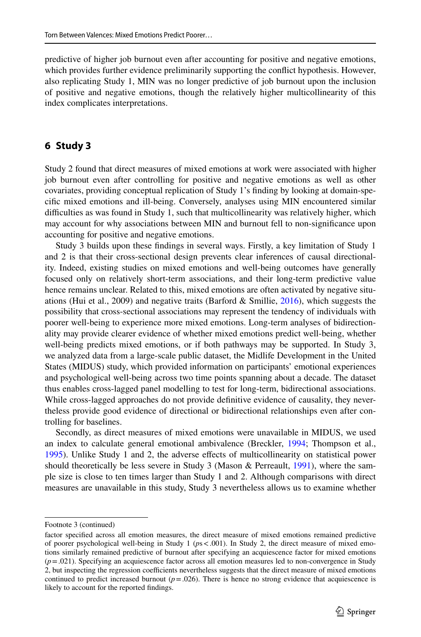predictive of higher job burnout even after accounting for positive and negative emotions, which provides further evidence preliminarily supporting the confict hypothesis. However, also replicating Study 1, MIN was no longer predictive of job burnout upon the inclusion of positive and negative emotions, though the relatively higher multicollinearity of this index complicates interpretations.

## **6 Study 3**

Study 2 found that direct measures of mixed emotions at work were associated with higher job burnout even after controlling for positive and negative emotions as well as other covariates, providing conceptual replication of Study 1's fnding by looking at domain-specifc mixed emotions and ill-being. Conversely, analyses using MIN encountered similar difficulties as was found in Study 1, such that multicollinearity was relatively higher, which may account for why associations between MIN and burnout fell to non-signifcance upon accounting for positive and negative emotions.

Study 3 builds upon these fndings in several ways. Firstly, a key limitation of Study 1 and 2 is that their cross-sectional design prevents clear inferences of causal directionality. Indeed, existing studies on mixed emotions and well-being outcomes have generally focused only on relatively short-term associations, and their long-term predictive value hence remains unclear. Related to this, mixed emotions are often activated by negative situations (Hui et al., 2009) and negative traits (Barford & Smillie,  $2016$ ), which suggests the possibility that cross-sectional associations may represent the tendency of individuals with poorer well-being to experience more mixed emotions. Long-term analyses of bidirectionality may provide clearer evidence of whether mixed emotions predict well-being, whether well-being predicts mixed emotions, or if both pathways may be supported. In Study 3, we analyzed data from a large-scale public dataset, the Midlife Development in the United States (MIDUS) study, which provided information on participants' emotional experiences and psychological well-being across two time points spanning about a decade. The dataset thus enables cross-lagged panel modelling to test for long-term, bidirectional associations. While cross-lagged approaches do not provide defnitive evidence of causality, they nevertheless provide good evidence of directional or bidirectional relationships even after controlling for baselines.

Secondly, as direct measures of mixed emotions were unavailable in MIDUS, we used an index to calculate general emotional ambivalence (Breckler, [1994](#page-26-12); Thompson et al., [1995\)](#page-29-10). Unlike Study 1 and 2, the adverse efects of multicollinearity on statistical power should theoretically be less severe in Study 3 (Mason & Perreault, [1991\)](#page-28-9), where the sample size is close to ten times larger than Study 1 and 2. Although comparisons with direct measures are unavailable in this study, Study 3 nevertheless allows us to examine whether

Footnote 3 (continued)

factor specifed across all emotion measures, the direct measure of mixed emotions remained predictive of poorer psychological well-being in Study 1 (*p*s<.001). In Study 2, the direct measure of mixed emotions similarly remained predictive of burnout after specifying an acquiescence factor for mixed emotions  $(p = .021)$ . Specifying an acquiescence factor across all emotion measures led to non-convergence in Study 2, but inspecting the regression coefficients nevertheless suggests that the direct measure of mixed emotions continued to predict increased burnout  $(p=.026)$ . There is hence no strong evidence that acquiescence is likely to account for the reported fndings.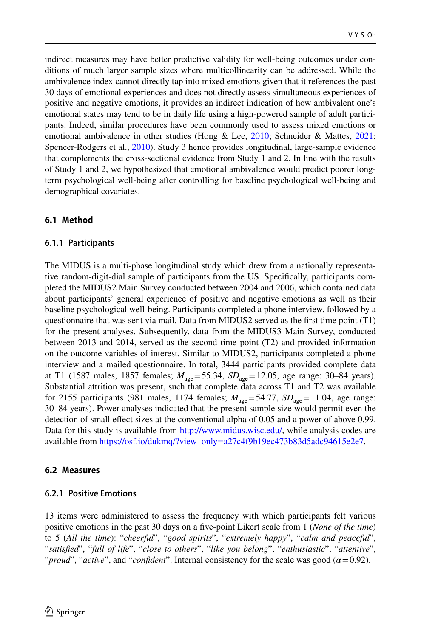indirect measures may have better predictive validity for well-being outcomes under conditions of much larger sample sizes where multicollinearity can be addressed. While the ambivalence index cannot directly tap into mixed emotions given that it references the past 30 days of emotional experiences and does not directly assess simultaneous experiences of positive and negative emotions, it provides an indirect indication of how ambivalent one's emotional states may tend to be in daily life using a high-powered sample of adult participants. Indeed, similar procedures have been commonly used to assess mixed emotions or emotional ambivalence in other studies (Hong & Lee, [2010;](#page-27-16) Schneider & Mattes, [2021;](#page-29-11) Spencer-Rodgers et al., [2010\)](#page-29-12). Study 3 hence provides longitudinal, large-sample evidence that complements the cross-sectional evidence from Study 1 and 2. In line with the results of Study 1 and 2, we hypothesized that emotional ambivalence would predict poorer longterm psychological well-being after controlling for baseline psychological well-being and demographical covariates.

#### **6.1 Method**

#### **6.1.1 Participants**

The MIDUS is a multi-phase longitudinal study which drew from a nationally representative random-digit-dial sample of participants from the US. Specifcally, participants completed the MIDUS2 Main Survey conducted between 2004 and 2006, which contained data about participants' general experience of positive and negative emotions as well as their baseline psychological well-being. Participants completed a phone interview, followed by a questionnaire that was sent via mail. Data from MIDUS2 served as the frst time point (T1) for the present analyses. Subsequently, data from the MIDUS3 Main Survey, conducted between 2013 and 2014, served as the second time point (T2) and provided information on the outcome variables of interest. Similar to MIDUS2, participants completed a phone interview and a mailed questionnaire. In total, 3444 participants provided complete data at T1 (1587 males, 1857 females;  $M_{\text{age}} = 55.34$ ,  $SD_{\text{age}} = 12.05$ , age range: 30–84 years). Substantial attrition was present, such that complete data across T1 and T2 was available for 2155 participants (981 males, 1174 females;  $M_{\text{age}} = 54.77$ ,  $SD_{\text{age}} = 11.04$ , age range: 30–84 years). Power analyses indicated that the present sample size would permit even the detection of small efect sizes at the conventional alpha of 0.05 and a power of above 0.99. Data for this study is available from [http://www.midus.wisc.edu/,](http://www.midus.wisc.edu/) while analysis codes are available from [https://osf.io/dukmq/?view\\_only=a27c4f9b19ec473b83d5adc94615e2e7.](https://osf.io/dukmq/?view_only=a27c4f9b19ec473b83d5adc94615e2e7)

#### **6.2 Measures**

#### **6.2.1 Positive Emotions**

13 items were administered to assess the frequency with which participants felt various positive emotions in the past 30 days on a fve-point Likert scale from 1 (*None of the time*) to 5 (*All the time*): "*cheerful*", "*good spirits*", "*extremely happy*", "*calm and peaceful*", "*satisfed*", "*full of life*", "*close to others*", "*like you belong*", "*enthusiastic*", "*attentive*", "*proud*", "*active*", and "*confident*". Internal consistency for the scale was good ( $\alpha$ =0.92).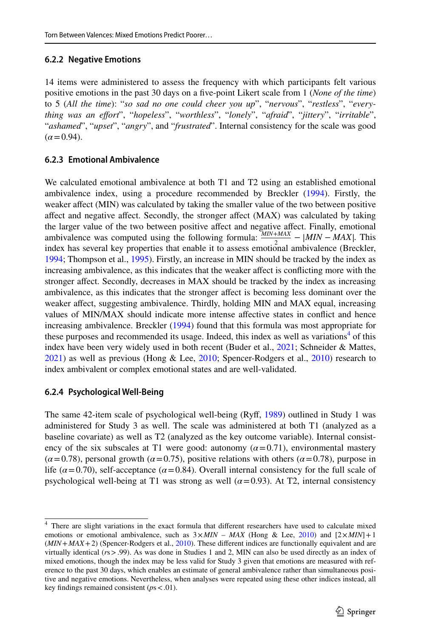#### **6.2.2 Negative Emotions**

14 items were administered to assess the frequency with which participants felt various positive emotions in the past 30 days on a fve-point Likert scale from 1 (*None of the time*) to 5 (*All the time*): "*so sad no one could cheer you up*", "*nervous*", "*restless*", "*everything was an efort*", "*hopeless*", "*worthless*", "*lonely*", "*afraid*", "*jittery*", "*irritable*", "*ashamed*", "*upset*", "*angry*", and "*frustrated*". Internal consistency for the scale was good  $(\alpha = 0.94)$ .

#### **6.2.3 Emotional Ambivalence**

We calculated emotional ambivalence at both T1 and T2 using an established emotional ambivalence index, using a procedure recommended by Breckler ([1994\)](#page-26-12). Firstly, the weaker afect (MIN) was calculated by taking the smaller value of the two between positive afect and negative afect. Secondly, the stronger afect (MAX) was calculated by taking the larger value of the two between positive afect and negative afect. Finally, emotional ambivalence was computed using the following formula:  $\frac{MN+MAX}{2} - |MIN - MAX|$ . This index has several key properties that enable it to assess emotional ambivalence (Breckler, [1994;](#page-26-12) Thompson et al., [1995\)](#page-29-10). Firstly, an increase in MIN should be tracked by the index as increasing ambivalence, as this indicates that the weaker afect is conficting more with the stronger afect. Secondly, decreases in MAX should be tracked by the index as increasing ambivalence, as this indicates that the stronger afect is becoming less dominant over the weaker afect, suggesting ambivalence. Thirdly, holding MIN and MAX equal, increasing values of MIN/MAX should indicate more intense afective states in confict and hence increasing ambivalence. Breckler [\(1994](#page-26-12)) found that this formula was most appropriate for these purposes and recommended its usage. Indeed, this index as well as variations<sup>[4](#page-18-0)</sup> of this index have been very widely used in both recent (Buder et al., [2021](#page-26-13); Schneider & Mattes, [2021\)](#page-29-11) as well as previous (Hong & Lee, [2010](#page-27-16); Spencer-Rodgers et al., [2010](#page-29-12)) research to index ambivalent or complex emotional states and are well-validated.

### **6.2.4 Psychological Well‑Being**

The same 42-item scale of psychological well-being (Ryf, [1989\)](#page-29-4) outlined in Study 1 was administered for Study 3 as well. The scale was administered at both T1 (analyzed as a baseline covariate) as well as T2 (analyzed as the key outcome variable). Internal consistency of the six subscales at T1 were good: autonomy  $(\alpha = 0.71)$ , environmental mastery  $(\alpha = 0.78)$ , personal growth  $(\alpha = 0.75)$ , positive relations with others  $(\alpha = 0.78)$ , purpose in life  $(\alpha = 0.70)$ , self-acceptance  $(\alpha = 0.84)$ . Overall internal consistency for the full scale of psychological well-being at T1 was strong as well  $(\alpha = 0.93)$ . At T2, internal consistency

<span id="page-18-0"></span><sup>&</sup>lt;sup>4</sup> There are slight variations in the exact formula that different researchers have used to calculate mixed emotions or emotional ambivalence, such as  $3 \times MIN - MAX$  (Hong & Lee, [2010\)](#page-27-16) and  $[2 \times MIN] + 1$ (*MIN*+*MAX*+2) (Spencer-Rodgers et al., [2010](#page-29-12)). These diferent indices are functionally equivalent and are virtually identical (*r*s>.99). As was done in Studies 1 and 2, MIN can also be used directly as an index of mixed emotions, though the index may be less valid for Study 3 given that emotions are measured with reference to the past 30 days, which enables an estimate of general ambivalence rather than simultaneous positive and negative emotions. Nevertheless, when analyses were repeated using these other indices instead, all key fndings remained consistent (*p*s<.01).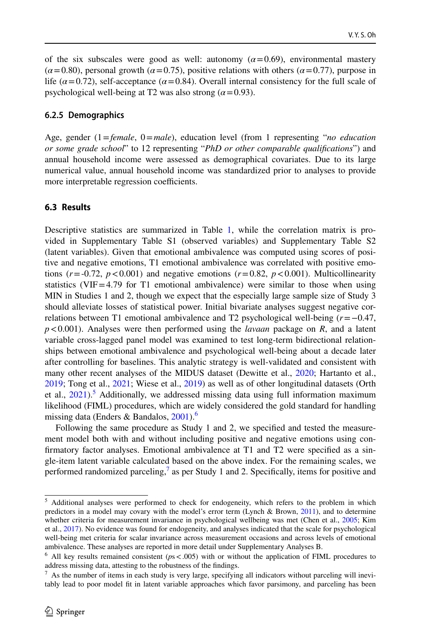of the six subscales were good as well: autonomy  $(a=0.69)$ , environmental mastery  $(\alpha = 0.80)$ , personal growth  $(\alpha = 0.75)$ , positive relations with others  $(\alpha = 0.77)$ , purpose in life  $(\alpha = 0.72)$ , self-acceptance  $(\alpha = 0.84)$ . Overall internal consistency for the full scale of psychological well-being at T2 was also strong ( $\alpha$ =0.93).

#### **6.2.5 Demographics**

Age, gender (1=*female*, 0=*male*), education level (from 1 representing "*no education or some grade school*" to 12 representing "*PhD or other comparable qualifcations*") and annual household income were assessed as demographical covariates. Due to its large numerical value, annual household income was standardized prior to analyses to provide more interpretable regression coefficients.

#### **6.3 Results**

Descriptive statistics are summarized in Table [1,](#page-7-0) while the correlation matrix is provided in Supplementary Table S1 (observed variables) and Supplementary Table S2 (latent variables). Given that emotional ambivalence was computed using scores of positive and negative emotions, T1 emotional ambivalence was correlated with positive emotions ( $r = -0.72$ ,  $p < 0.001$ ) and negative emotions ( $r = 0.82$ ,  $p < 0.001$ ). Multicollinearity statistics (VIF=4.79 for T1 emotional ambivalence) were similar to those when using MIN in Studies 1 and 2, though we expect that the especially large sample size of Study 3 should alleviate losses of statistical power. Initial bivariate analyses suggest negative correlations between T1 emotional ambivalence and T2 psychological well-being (*r*=−0.47, *p*<0.001). Analyses were then performed using the *lavaan* package on *R*, and a latent variable cross-lagged panel model was examined to test long-term bidirectional relationships between emotional ambivalence and psychological well-being about a decade later after controlling for baselines. This analytic strategy is well-validated and consistent with many other recent analyses of the MIDUS dataset (Dewitte et al., [2020;](#page-26-14) Hartanto et al., [2019;](#page-27-17) Tong et al., [2021;](#page-29-6) Wiese et al., [2019](#page-29-13)) as well as of other longitudinal datasets (Orth et al.,  $2021$ <sup>[5](#page-19-0)</sup> Additionally, we addressed missing data using full information maximum likelihood (FIML) procedures, which are widely considered the gold standard for handling missing data (Enders & Bandalos,  $2001$ ).<sup>6</sup>

Following the same procedure as Study 1 and 2, we specifed and tested the measurement model both with and without including positive and negative emotions using confrmatory factor analyses. Emotional ambivalence at T1 and T2 were specifed as a single-item latent variable calculated based on the above index. For the remaining scales, we performed randomized parceling,<sup>[7](#page-19-2)</sup> as per Study 1 and 2. Specifically, items for positive and

<span id="page-19-0"></span><sup>&</sup>lt;sup>5</sup> Additional analyses were performed to check for endogeneity, which refers to the problem in which predictors in a model may covary with the model's error term (Lynch & Brown,  $2011$ ), and to determine whether criteria for measurement invariance in psychological wellbeing was met (Chen et al., [2005](#page-26-15); Kim et al., [2017](#page-27-19)). No evidence was found for endogeneity, and analyses indicated that the scale for psychological well-being met criteria for scalar invariance across measurement occasions and across levels of emotional ambivalence. These analyses are reported in more detail under Supplementary Analyses B.

<span id="page-19-1"></span> $6$  All key results remained consistent ( $p s < .005$ ) with or without the application of FIML procedures to address missing data, attesting to the robustness of the fndings.

<span id="page-19-2"></span><sup>7</sup> As the number of items in each study is very large, specifying all indicators without parceling will inevitably lead to poor model ft in latent variable approaches which favor parsimony, and parceling has been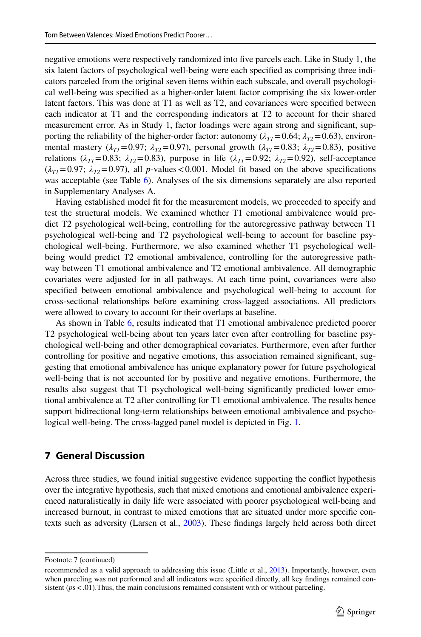negative emotions were respectively randomized into fve parcels each. Like in Study 1, the six latent factors of psychological well-being were each specifed as comprising three indicators parceled from the original seven items within each subscale, and overall psychological well-being was specifed as a higher-order latent factor comprising the six lower-order latent factors. This was done at T1 as well as T2, and covariances were specifed between each indicator at T1 and the corresponding indicators at T2 to account for their shared measurement error. As in Study 1, factor loadings were again strong and signifcant, supporting the reliability of the higher-order factor: autonomy ( $\lambda_{T1}$ =0.64;  $\lambda_{T2}$ =0.63), environmental mastery ( $\lambda_{T1}$ =0.97;  $\lambda_{T2}$ =0.97), personal growth ( $\lambda_{T1}$ =0.83;  $\lambda_{T2}$ =0.83), positive relations ( $\lambda_{T1}$ =0.83;  $\lambda_{T2}$ =0.83), purpose in life ( $\lambda_{T1}$ =0.92;  $\lambda_{T2}$ =0.92), self-acceptance  $(\lambda_T = 0.97; \lambda_T = 0.97)$ , all *p*-values < 0.001. Model fit based on the above specifications was acceptable (see Table [6\)](#page-21-0). Analyses of the six dimensions separately are also reported in Supplementary Analyses A.

Having established model ft for the measurement models, we proceeded to specify and test the structural models. We examined whether T1 emotional ambivalence would predict T2 psychological well-being, controlling for the autoregressive pathway between T1 psychological well-being and T2 psychological well-being to account for baseline psychological well-being. Furthermore, we also examined whether T1 psychological wellbeing would predict T2 emotional ambivalence, controlling for the autoregressive pathway between T1 emotional ambivalence and T2 emotional ambivalence. All demographic covariates were adjusted for in all pathways. At each time point, covariances were also specifed between emotional ambivalence and psychological well-being to account for cross-sectional relationships before examining cross-lagged associations. All predictors were allowed to covary to account for their overlaps at baseline.

As shown in Table [6,](#page-21-0) results indicated that T1 emotional ambivalence predicted poorer T2 psychological well-being about ten years later even after controlling for baseline psychological well-being and other demographical covariates. Furthermore, even after further controlling for positive and negative emotions, this association remained signifcant, suggesting that emotional ambivalence has unique explanatory power for future psychological well-being that is not accounted for by positive and negative emotions. Furthermore, the results also suggest that T1 psychological well-being signifcantly predicted lower emotional ambivalence at T2 after controlling for T1 emotional ambivalence. The results hence support bidirectional long-term relationships between emotional ambivalence and psychological well-being. The cross-lagged panel model is depicted in Fig. [1.](#page-22-0)

### **7 General Discussion**

Across three studies, we found initial suggestive evidence supporting the confict hypothesis over the integrative hypothesis, such that mixed emotions and emotional ambivalence experienced naturalistically in daily life were associated with poorer psychological well-being and increased burnout, in contrast to mixed emotions that are situated under more specifc contexts such as adversity (Larsen et al., [2003](#page-27-2)). These fndings largely held across both direct

Footnote 7 (continued)

recommended as a valid approach to addressing this issue (Little et al., [2013](#page-28-13)). Importantly, however, even when parceling was not performed and all indicators were specifed directly, all key fndings remained consistent ( $ps$ <.01). Thus, the main conclusions remained consistent with or without parceling.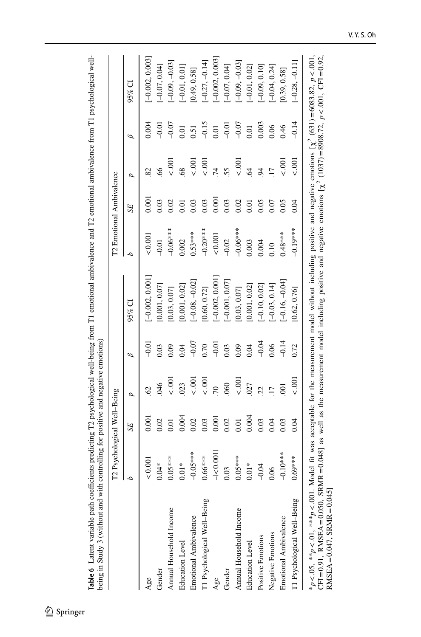|                             | T2 Psychological Well-Being |       |                |         |                   | T2 Emotional Ambivalence |                  |                 |         |                   |
|-----------------------------|-----------------------------|-------|----------------|---------|-------------------|--------------------------|------------------|-----------------|---------|-------------------|
|                             | d                           | SE    | d              | Β       | $95\%$ CI         | d                        | SE <sub></sub>   | d               | Β       | 95% CI            |
| Age                         | ${}_{0.001}$                | 0.001 | S              | .<br>이  | $[-0.002, 0.001]$ | 0.001                    | 0.001            | 82              | 0.004   | $[-0.002, 0.003]$ |
| Gender                      | $0.04*$                     | 0.02  | 80             | 0.03    | [0.001, 0.07]     | $-0.01$                  | 0.03             | 8               | $-0.01$ | $-0.07, 0.04$     |
| Annual Household Income     | $0.05***$                   | 0.01  | $\leq$ .00     | 0.09    | 0.03, 0.07        | $-0.06***$               | 0.02             | $\frac{8}{5}$   | $-0.07$ | $-0.09, -0.03$    |
| Education Level             | $0.01*$                     | 0.004 | 023            | 0.04    | 0.001, 0.02       | 0.002                    | $\overline{0.0}$ | 68              | 0.01    | $-0.01, 0.01$     |
| Emotional Ambivalence       | $-0.05***$                  | 0.02  | $\overline{0}$ | $-0.07$ | $[-0.08, -0.02]$  | $0.53***$                | 0.03             | $\frac{1}{2}$   | 0.51    | [0.49, 0.58]      |
| T1 Psychological Well-Being | $0.66***$                   | 0.03  | $\overline{0}$ | 0.70    | 0.60, 0.72]       | $-0.20$ ***              | 0.03             | 001             | $-0.15$ | $-0.27, -0.14$    |
| Age                         | $-1$ < 0.001                | 0.001 | $\overline{C}$ | $-0.01$ | $[-0.002, 0.001]$ | ${}_{0.001}$             | 0.00             | .74             | 0.01    | $-0.002, 0.003$   |
| Gender                      | 0.03                        | 0.02  | 060            | 0.03    | $[-0.001, 0.07]$  | $-0.02$                  | 0.03             | 55              | $-0.01$ | $[-0.07, 0.04]$   |
| Annual Household Income     | $0.05***$                   | 0.01  | $\overline{6}$ | 0.09    | [0.03, 0.07]      | $-0.06$ ***              | 0.02             | 00.55           | $-0.07$ | $[-0.09, -0.03]$  |
| <b>Education Level</b>      | $0.01*$                     | 0.004 | 027            | 0.04    | 0.001, 0.02       | 0.003                    | 0.01             | $\overline{6}$  | 0.01    | $[-0.01, 0.02]$   |
| Positive Emotions           | $-0.04$                     | 0.03  | 22             | $-0.04$ | $[-0.10, 0.02]$   | 0.004                    | 0.05             | $\overline{94}$ | 0.003   | $[-0.09, 0.10]$   |
| Negative Emotions           | 0.06                        | 0.04  | $\overline{1}$ | 0.06    | $-0.03, 0.14$     | 0.10                     | 0.07             | $\overline{17}$ | 0.06    | $-0.04, 0.24$     |
| Emotional Ambivalence       | $-0.10^{***}$               | 0.03  |                | $-0.14$ | $-0.16, -0.04$    | $0.48***$                | 0.05             | $\frac{8}{5}$   | 0.46    | [0.39, 0.58]      |
| T1 Psychological Well-Being | $0.69***$                   | 0.04  | $\approx 001$  | 0.72    | [0.62, 0.76]      | $-0.19***$               | 0.04             | 5001            | $-0.14$ | $[-0.28, -0.11]$  |

<span id="page-21-0"></span>Table 6 Latent variable path coefficients predicting T2 psychological well-being from T1 emotional ambivalence and T2 emotional ambivalence from T1 psychological well-**Table 6** Latent variable path coefcients predicting T2 psychological well-being from T1 emotional ambivalence and T2 emotional ambivalence from T1 psychological well-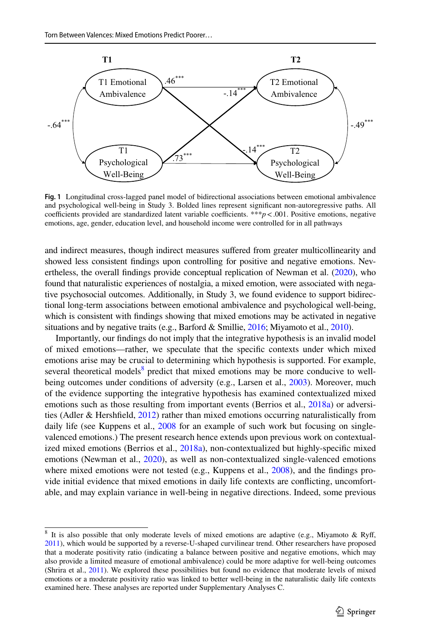

<span id="page-22-0"></span>**Fig. 1** Longitudinal cross-lagged panel model of bidirectional associations between emotional ambivalence and psychological well-being in Study 3. Bolded lines represent signifcant non-autoregressive paths. All coefficients provided are standardized latent variable coefficients. \*\*\**p* < .001. Positive emotions, negative emotions, age, gender, education level, and household income were controlled for in all pathways

and indirect measures, though indirect measures sufered from greater multicollinearity and showed less consistent fndings upon controlling for positive and negative emotions. Nevertheless, the overall fndings provide conceptual replication of Newman et al. [\(2020](#page-28-5)), who found that naturalistic experiences of nostalgia, a mixed emotion, were associated with negative psychosocial outcomes. Additionally, in Study 3, we found evidence to support bidirectional long-term associations between emotional ambivalence and psychological well-being, which is consistent with fndings showing that mixed emotions may be activated in negative situations and by negative traits (e.g., Barford & Smillie,  $2016$ ; Miyamoto et al.,  $2010$ ).

Importantly, our fndings do not imply that the integrative hypothesis is an invalid model of mixed emotions—rather, we speculate that the specifc contexts under which mixed emotions arise may be crucial to determining which hypothesis is supported. For example, several theoretical models<sup>8</sup> predict that mixed emotions may be more conducive to well-being outcomes under conditions of adversity (e.g., Larsen et al., [2003\)](#page-27-2). Moreover, much of the evidence supporting the integrative hypothesis has examined contextualized mixed emotions such as those resulting from important events (Berrios et al., [2018a](#page-26-0)) or adversities (Adler & Hershfeld, [2012](#page-25-0)) rather than mixed emotions occurring naturalistically from daily life (see Kuppens et al., [2008](#page-27-6) for an example of such work but focusing on singlevalenced emotions.) The present research hence extends upon previous work on contextualized mixed emotions (Berrios et al., [2018a](#page-26-0)), non-contextualized but highly-specifc mixed emotions (Newman et al., [2020\)](#page-28-5), as well as non-contextualized single-valenced emotions where mixed emotions were not tested (e.g., Kuppens et al., [2008\)](#page-27-6), and the findings provide initial evidence that mixed emotions in daily life contexts are conficting, uncomfortable, and may explain variance in well-being in negative directions. Indeed, some previous

<span id="page-22-1"></span><sup>&</sup>lt;sup>8</sup> It is also possible that only moderate levels of mixed emotions are adaptive (e.g., Miyamoto & Ryff, [2011\)](#page-28-15), which would be supported by a reverse-U-shaped curvilinear trend. Other researchers have proposed that a moderate positivity ratio (indicating a balance between positive and negative emotions, which may also provide a limited measure of emotional ambivalence) could be more adaptive for well-being outcomes (Shrira et al., [2011\)](#page-29-14). We explored these possibilities but found no evidence that moderate levels of mixed emotions or a moderate positivity ratio was linked to better well-being in the naturalistic daily life contexts examined here. These analyses are reported under Supplementary Analyses C.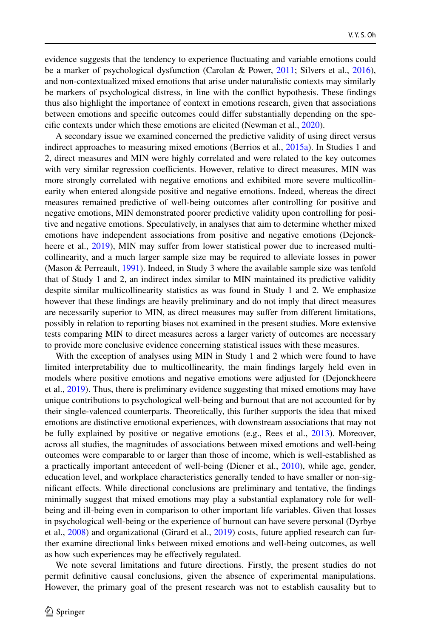evidence suggests that the tendency to experience fuctuating and variable emotions could be a marker of psychological dysfunction (Carolan & Power, [2011;](#page-26-16) Silvers et al., [2016](#page-29-15)), and non-contextualized mixed emotions that arise under naturalistic contexts may similarly be markers of psychological distress, in line with the confict hypothesis. These fndings thus also highlight the importance of context in emotions research, given that associations between emotions and specifc outcomes could difer substantially depending on the specifc contexts under which these emotions are elicited (Newman et al., [2020\)](#page-28-5).

A secondary issue we examined concerned the predictive validity of using direct versus indirect approaches to measuring mixed emotions (Berrios et al., [2015a\)](#page-26-5). In Studies 1 and 2, direct measures and MIN were highly correlated and were related to the key outcomes with very similar regression coefficients. However, relative to direct measures, MIN was more strongly correlated with negative emotions and exhibited more severe multicollinearity when entered alongside positive and negative emotions. Indeed, whereas the direct measures remained predictive of well-being outcomes after controlling for positive and negative emotions, MIN demonstrated poorer predictive validity upon controlling for positive and negative emotions. Speculatively, in analyses that aim to determine whether mixed emotions have independent associations from positive and negative emotions (Dejonck-heere et al., [2019\)](#page-26-4), MIN may suffer from lower statistical power due to increased multicollinearity, and a much larger sample size may be required to alleviate losses in power (Mason & Perreault, [1991](#page-28-9)). Indeed, in Study 3 where the available sample size was tenfold that of Study 1 and 2, an indirect index similar to MIN maintained its predictive validity despite similar multicollinearity statistics as was found in Study 1 and 2. We emphasize however that these fndings are heavily preliminary and do not imply that direct measures are necessarily superior to MIN, as direct measures may sufer from diferent limitations, possibly in relation to reporting biases not examined in the present studies. More extensive tests comparing MIN to direct measures across a larger variety of outcomes are necessary to provide more conclusive evidence concerning statistical issues with these measures.

With the exception of analyses using MIN in Study 1 and 2 which were found to have limited interpretability due to multicollinearity, the main fndings largely held even in models where positive emotions and negative emotions were adjusted for (Dejonckheere et al., [2019\)](#page-26-4). Thus, there is preliminary evidence suggesting that mixed emotions may have unique contributions to psychological well-being and burnout that are not accounted for by their single-valenced counterparts. Theoretically, this further supports the idea that mixed emotions are distinctive emotional experiences, with downstream associations that may not be fully explained by positive or negative emotions (e.g., Rees et al., [2013](#page-28-1)). Moreover, across all studies, the magnitudes of associations between mixed emotions and well-being outcomes were comparable to or larger than those of income, which is well-established as a practically important antecedent of well-being (Diener et al., [2010\)](#page-26-17), while age, gender, education level, and workplace characteristics generally tended to have smaller or non-signifcant efects. While directional conclusions are preliminary and tentative, the fndings minimally suggest that mixed emotions may play a substantial explanatory role for wellbeing and ill-being even in comparison to other important life variables. Given that losses in psychological well-being or the experience of burnout can have severe personal (Dyrbye et al., [2008\)](#page-26-9) and organizational (Girard et al., [2019](#page-27-20)) costs, future applied research can further examine directional links between mixed emotions and well-being outcomes, as well as how such experiences may be efectively regulated.

We note several limitations and future directions. Firstly, the present studies do not permit defnitive causal conclusions, given the absence of experimental manipulations. However, the primary goal of the present research was not to establish causality but to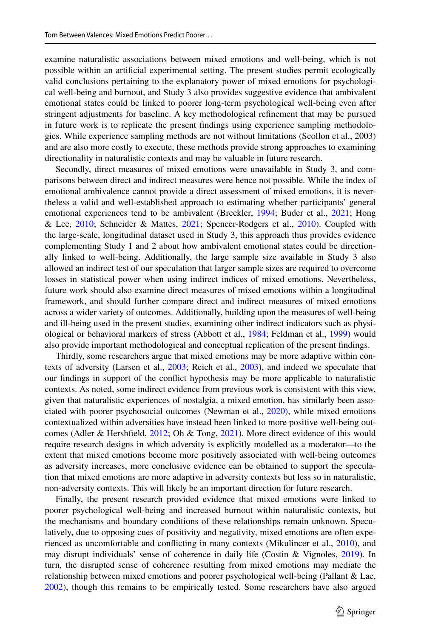examine naturalistic associations between mixed emotions and well-being, which is not possible within an artifcial experimental setting. The present studies permit ecologically valid conclusions pertaining to the explanatory power of mixed emotions for psychological well-being and burnout, and Study 3 also provides suggestive evidence that ambivalent emotional states could be linked to poorer long-term psychological well-being even after stringent adjustments for baseline. A key methodological refnement that may be pursued in future work is to replicate the present fndings using experience sampling methodologies. While experience sampling methods are not without limitations (Scollon et al., 2003) and are also more costly to execute, these methods provide strong approaches to examining directionality in naturalistic contexts and may be valuable in future research.

Secondly, direct measures of mixed emotions were unavailable in Study 3, and comparisons between direct and indirect measures were hence not possible. While the index of emotional ambivalence cannot provide a direct assessment of mixed emotions, it is nevertheless a valid and well-established approach to estimating whether participants' general emotional experiences tend to be ambivalent (Breckler, [1994](#page-26-12); Buder et al., [2021](#page-26-13); Hong & Lee, [2010;](#page-27-16) Schneider & Mattes, [2021;](#page-29-11) Spencer-Rodgers et al., [2010\)](#page-29-12). Coupled with the large-scale, longitudinal dataset used in Study 3, this approach thus provides evidence complementing Study 1 and 2 about how ambivalent emotional states could be directionally linked to well-being. Additionally, the large sample size available in Study 3 also allowed an indirect test of our speculation that larger sample sizes are required to overcome losses in statistical power when using indirect indices of mixed emotions. Nevertheless, future work should also examine direct measures of mixed emotions within a longitudinal framework, and should further compare direct and indirect measures of mixed emotions across a wider variety of outcomes. Additionally, building upon the measures of well-being and ill-being used in the present studies, examining other indirect indicators such as physiological or behavioral markers of stress (Abbott et al., [1984;](#page-25-5) Feldman et al., [1999\)](#page-27-21) would also provide important methodological and conceptual replication of the present fndings.

Thirdly, some researchers argue that mixed emotions may be more adaptive within contexts of adversity (Larsen et al., [2003](#page-27-2); Reich et al., [2003](#page-28-3)), and indeed we speculate that our fndings in support of the confict hypothesis may be more applicable to naturalistic contexts. As noted, some indirect evidence from previous work is consistent with this view, given that naturalistic experiences of nostalgia, a mixed emotion, has similarly been associated with poorer psychosocial outcomes (Newman et al., [2020\)](#page-28-5), while mixed emotions contextualized within adversities have instead been linked to more positive well-being outcomes (Adler & Hershfeld, [2012](#page-25-0); Oh & Tong, [2021](#page-28-2)). More direct evidence of this would require research designs in which adversity is explicitly modelled as a moderator—to the extent that mixed emotions become more positively associated with well-being outcomes as adversity increases, more conclusive evidence can be obtained to support the speculation that mixed emotions are more adaptive in adversity contexts but less so in naturalistic, non-adversity contexts. This will likely be an important direction for future research.

Finally, the present research provided evidence that mixed emotions were linked to poorer psychological well-being and increased burnout within naturalistic contexts, but the mechanisms and boundary conditions of these relationships remain unknown. Speculatively, due to opposing cues of positivity and negativity, mixed emotions are often experienced as uncomfortable and conficting in many contexts (Mikulincer et al., [2010](#page-28-16)), and may disrupt individuals' sense of coherence in daily life (Costin & Vignoles, [2019](#page-26-18)). In turn, the disrupted sense of coherence resulting from mixed emotions may mediate the relationship between mixed emotions and poorer psychological well-being (Pallant & Lae, [2002\)](#page-28-17), though this remains to be empirically tested. Some researchers have also argued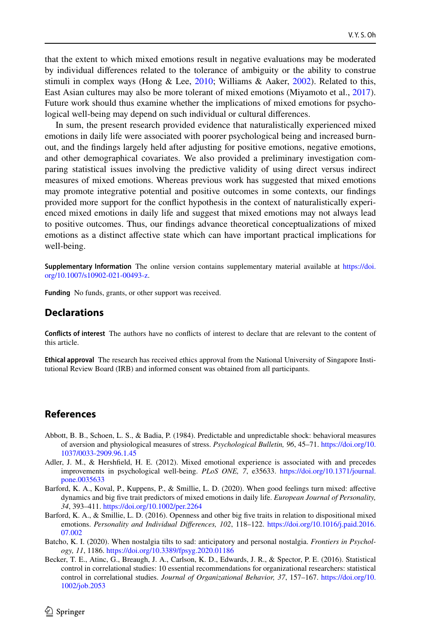that the extent to which mixed emotions result in negative evaluations may be moderated by individual diferences related to the tolerance of ambiguity or the ability to construe stimuli in complex ways (Hong & Lee, [2010](#page-27-16); Williams & Aaker, [2002\)](#page-29-1). Related to this, East Asian cultures may also be more tolerant of mixed emotions (Miyamoto et al., [2017](#page-28-18)). Future work should thus examine whether the implications of mixed emotions for psychological well-being may depend on such individual or cultural diferences.

In sum, the present research provided evidence that naturalistically experienced mixed emotions in daily life were associated with poorer psychological being and increased burnout, and the fndings largely held after adjusting for positive emotions, negative emotions, and other demographical covariates. We also provided a preliminary investigation comparing statistical issues involving the predictive validity of using direct versus indirect measures of mixed emotions. Whereas previous work has suggested that mixed emotions may promote integrative potential and positive outcomes in some contexts, our fndings provided more support for the confict hypothesis in the context of naturalistically experienced mixed emotions in daily life and suggest that mixed emotions may not always lead to positive outcomes. Thus, our fndings advance theoretical conceptualizations of mixed emotions as a distinct afective state which can have important practical implications for well-being.

**Supplementary Information** The online version contains supplementary material available at [https://doi.](https://doi.org/10.1007/s10902-021-00493-z) [org/10.1007/s10902-021-00493-z](https://doi.org/10.1007/s10902-021-00493-z).

**Funding** No funds, grants, or other support was received.

### **Declarations**

**Conficts of interest** The authors have no conficts of interest to declare that are relevant to the content of this article.

**Ethical approval** The research has received ethics approval from the National University of Singapore Institutional Review Board (IRB) and informed consent was obtained from all participants.

#### **References**

- <span id="page-25-5"></span>Abbott, B. B., Schoen, L. S., & Badia, P. (1984). Predictable and unpredictable shock: behavioral measures of aversion and physiological measures of stress. *Psychological Bulletin, 96*, 45–71. [https://doi.org/10.](https://doi.org/10.1037/0033-2909.96.1.45) [1037/0033-2909.96.1.45](https://doi.org/10.1037/0033-2909.96.1.45)
- <span id="page-25-0"></span>Adler, J. M., & Hershfeld, H. E. (2012). Mixed emotional experience is associated with and precedes improvements in psychological well-being. *PLoS ONE, 7*, e35633. [https://doi.org/10.1371/journal.](https://doi.org/10.1371/journal.pone.0035633) [pone.0035633](https://doi.org/10.1371/journal.pone.0035633)
- <span id="page-25-2"></span>Barford, K. A., Koval, P., Kuppens, P., & Smillie, L. D. (2020). When good feelings turn mixed: afective dynamics and big fve trait predictors of mixed emotions in daily life. *European Journal of Personality, 34*, 393–411. <https://doi.org/10.1002/per.2264>
- <span id="page-25-1"></span>Barford, K. A., & Smillie, L. D. (2016). Openness and other big fve traits in relation to dispositional mixed emotions. *Personality and Individual Diferences, 102*, 118–122. [https://doi.org/10.1016/j.paid.2016.](https://doi.org/10.1016/j.paid.2016.07.002) [07.002](https://doi.org/10.1016/j.paid.2016.07.002)
- <span id="page-25-3"></span>Batcho, K. I. (2020). When nostalgia tilts to sad: anticipatory and personal nostalgia. *Frontiers in Psychology, 11*, 1186.<https://doi.org/10.3389/fpsyg.2020.01186>
- <span id="page-25-4"></span>Becker, T. E., Atinc, G., Breaugh, J. A., Carlson, K. D., Edwards, J. R., & Spector, P. E. (2016). Statistical control in correlational studies: 10 essential recommendations for organizational researchers: statistical control in correlational studies. *Journal of Organizational Behavior, 37*, 157–167. [https://doi.org/10.](https://doi.org/10.1002/job.2053) [1002/job.2053](https://doi.org/10.1002/job.2053)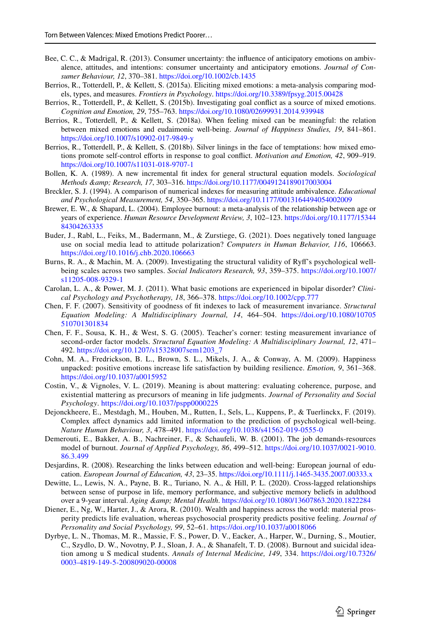- <span id="page-26-2"></span>Bee, C. C., & Madrigal, R. (2013). Consumer uncertainty: the infuence of anticipatory emotions on ambivalence, attitudes, and intentions: consumer uncertainty and anticipatory emotions. *Journal of Consumer Behaviour, 12*, 370–381.<https://doi.org/10.1002/cb.1435>
- <span id="page-26-5"></span>Berrios, R., Totterdell, P., & Kellett, S. (2015a). Eliciting mixed emotions: a meta-analysis comparing models, types, and measures. *Frontiers in Psychology*.<https://doi.org/10.3389/fpsyg.2015.00428>
- <span id="page-26-6"></span>Berrios, R., Totterdell, P., & Kellett, S. (2015b). Investigating goal confict as a source of mixed emotions. *Cognition and Emotion, 29*, 755–763. <https://doi.org/10.1080/02699931.2014.939948>
- <span id="page-26-0"></span>Berrios, R., Totterdell, P., & Kellett, S. (2018a). When feeling mixed can be meaningful: the relation between mixed emotions and eudaimonic well-being. *Journal of Happiness Studies, 19*, 841–861. <https://doi.org/10.1007/s10902-017-9849-y>
- <span id="page-26-1"></span>Berrios, R., Totterdell, P., & Kellett, S. (2018b). Silver linings in the face of temptations: how mixed emotions promote self-control eforts in response to goal confict. *Motivation and Emotion, 42*, 909–919. <https://doi.org/10.1007/s11031-018-9707-1>
- Bollen, K. A. (1989). A new incremental ft index for general structural equation models. *Sociological Methods & Research, 17*, 303–316.<https://doi.org/10.1177/0049124189017003004>
- <span id="page-26-12"></span>Breckler, S. J. (1994). A comparison of numerical indexes for measuring attitude ambivalence. *Educational and Psychological Measurement, 54*, 350–365.<https://doi.org/10.1177/0013164494054002009>
- <span id="page-26-10"></span>Brewer, E. W., & Shapard, L. (2004). Employee burnout: a meta-analysis of the relationship between age or years of experience. *Human Resource Development Review, 3*, 102–123. [https://doi.org/10.1177/15344](https://doi.org/10.1177/1534484304263335) [84304263335](https://doi.org/10.1177/1534484304263335)
- <span id="page-26-13"></span>Buder, J., Rabl, L., Feiks, M., Badermann, M., & Zurstiege, G. (2021). Does negatively toned language use on social media lead to attitude polarization? *Computers in Human Behavior, 116*, 106663. <https://doi.org/10.1016/j.chb.2020.106663>
- <span id="page-26-8"></span>Burns, R. A., & Machin, M. A. (2009). Investigating the structural validity of Ryf's psychological wellbeing scales across two samples. *Social Indicators Research, 93*, 359–375. [https://doi.org/10.1007/](https://doi.org/10.1007/s11205-008-9329-1) [s11205-008-9329-1](https://doi.org/10.1007/s11205-008-9329-1)
- <span id="page-26-16"></span>Carolan, L. A., & Power, M. J. (2011). What basic emotions are experienced in bipolar disorder? *Clinical Psychology and Psychotherapy, 18*, 366–378.<https://doi.org/10.1002/cpp.777>
- Chen, F. F. (2007). Sensitivity of goodness of ft indexes to lack of measurement invariance. *Structural Equation Modeling: A Multidisciplinary Journal, 14*, 464–504. [https://doi.org/10.1080/10705](https://doi.org/10.1080/10705510701301834) [510701301834](https://doi.org/10.1080/10705510701301834)
- <span id="page-26-15"></span>Chen, F. F., Sousa, K. H., & West, S. G. (2005). Teacher's corner: testing measurement invariance of second-order factor models. *Structural Equation Modeling: A Multidisciplinary Journal, 12*, 471– 492. [https://doi.org/10.1207/s15328007sem1203\\_7](https://doi.org/10.1207/s15328007sem1203_7)
- <span id="page-26-3"></span>Cohn, M. A., Fredrickson, B. L., Brown, S. L., Mikels, J. A., & Conway, A. M. (2009). Happiness unpacked: positive emotions increase life satisfaction by building resilience. *Emotion, 9*, 361–368. <https://doi.org/10.1037/a0015952>
- <span id="page-26-18"></span>Costin, V., & Vignoles, V. L. (2019). Meaning is about mattering: evaluating coherence, purpose, and existential mattering as precursors of meaning in life judgments. *Journal of Personality and Social Psychology*. <https://doi.org/10.1037/pspp0000225>
- <span id="page-26-4"></span>Dejonckheere, E., Mestdagh, M., Houben, M., Rutten, I., Sels, L., Kuppens, P., & Tuerlinckx, F. (2019). Complex afect dynamics add limited information to the prediction of psychological well-being. *Nature Human Behaviour, 3*, 478–491.<https://doi.org/10.1038/s41562-019-0555-0>
- <span id="page-26-11"></span>Demerouti, E., Bakker, A. B., Nachreiner, F., & Schaufeli, W. B. (2001). The job demands-resources model of burnout. *Journal of Applied Psychology, 86*, 499–512. [https://doi.org/10.1037/0021-9010.](https://doi.org/10.1037/0021-9010.86.3.499) [86.3.499](https://doi.org/10.1037/0021-9010.86.3.499)
- <span id="page-26-7"></span>Desjardins, R. (2008). Researching the links between education and well-being: European journal of education. *European Journal of Education, 43*, 23–35. <https://doi.org/10.1111/j.1465-3435.2007.00333.x>
- <span id="page-26-14"></span>Dewitte, L., Lewis, N. A., Payne, B. R., Turiano, N. A., & Hill, P. L. (2020). Cross-lagged relationships between sense of purpose in life, memory performance, and subjective memory beliefs in adulthood over a 9-year interval. *Aging & Mental Health*. <https://doi.org/10.1080/13607863.2020.1822284>
- <span id="page-26-17"></span>Diener, E., Ng, W., Harter, J., & Arora, R. (2010). Wealth and happiness across the world: material prosperity predicts life evaluation, whereas psychosocial prosperity predicts positive feeling. *Journal of Personality and Social Psychology, 99*, 52–61. <https://doi.org/10.1037/a0018066>
- <span id="page-26-9"></span>Dyrbye, L. N., Thomas, M. R., Massie, F. S., Power, D. V., Eacker, A., Harper, W., Durning, S., Moutier, C., Szydlo, D. W., Novotny, P. J., Sloan, J. A., & Shanafelt, T. D. (2008). Burnout and suicidal ideation among u S medical students. *Annals of Internal Medicine, 149*, 334. [https://doi.org/10.7326/](https://doi.org/10.7326/0003-4819-149-5-200809020-00008) [0003-4819-149-5-200809020-00008](https://doi.org/10.7326/0003-4819-149-5-200809020-00008)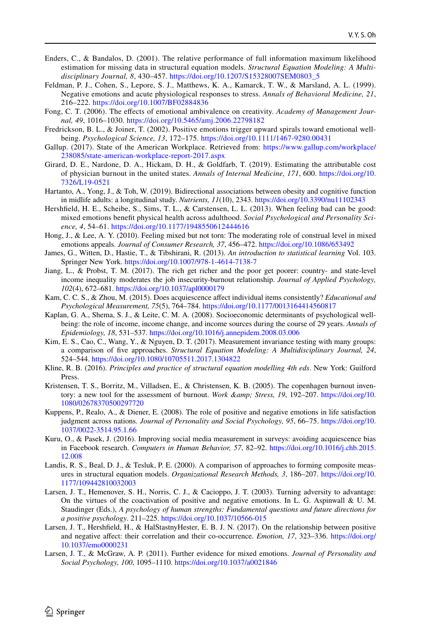- <span id="page-27-18"></span>Enders, C., & Bandalos, D. (2001). The relative performance of full information maximum likelihood estimation for missing data in structural equation models. *Structural Equation Modeling: A Multidisciplinary Journal, 8*, 430–457. [https://doi.org/10.1207/S15328007SEM0803\\_5](https://doi.org/10.1207/S15328007SEM0803_5)
- <span id="page-27-21"></span>Feldman, P. J., Cohen, S., Lepore, S. J., Matthews, K. A., Kamarck, T. W., & Marsland, A. L. (1999). Negative emotions and acute physiological responses to stress. *Annals of Behavioral Medicine, 21*, 216–222. <https://doi.org/10.1007/BF02884836>
- <span id="page-27-1"></span>Fong, C. T. (2006). The effects of emotional ambivalence on creativity. *Academy of Management Journal, 49*, 1016–1030.<https://doi.org/10.5465/amj.2006.22798182>
- <span id="page-27-5"></span>Fredrickson, B. L., & Joiner, T. (2002). Positive emotions trigger upward spirals toward emotional wellbeing. *Psychological Science, 13*, 172–175. <https://doi.org/10.1111/1467-9280.00431>
- <span id="page-27-11"></span>Gallup. (2017). State of the American Workplace. Retrieved from: [https://www.gallup.com/workplace/](https://www.gallup.com/workplace/238085/state-american-workplace-report-2017.aspx) [238085/state-american-workplace-report-2017.aspx](https://www.gallup.com/workplace/238085/state-american-workplace-report-2017.aspx)
- <span id="page-27-20"></span>Girard, D. E., Nardone, D. A., Hickam, D. H., & Goldfarb, T. (2019). Estimating the attributable cost of physician burnout in the united states. *Annals of Internal Medicine, 171*, 600. [https://doi.org/10.](https://doi.org/10.7326/L19-0521) [7326/L19-0521](https://doi.org/10.7326/L19-0521)
- <span id="page-27-17"></span>Hartanto, A., Yong, J., & Toh, W. (2019). Bidirectional associations between obesity and cognitive function in midlife adults: a longitudinal study. *Nutrients, 11*(10), 2343.<https://doi.org/10.3390/nu11102343>
- <span id="page-27-3"></span>Hershfeld, H. E., Scheibe, S., Sims, T. L., & Carstensen, L. L. (2013). When feeling bad can be good: mixed emotions beneft physical health across adulthood. *Social Psychological and Personality Science, 4*, 54–61.<https://doi.org/10.1177/1948550612444616>
- <span id="page-27-16"></span>Hong, J., & Lee, A. Y. (2010). Feeling mixed but not torn: The moderating role of construal level in mixed emotions appeals. *Journal of Consumer Research, 37*, 456–472.<https://doi.org/10.1086/653492>
- <span id="page-27-9"></span>James, G., Witten, D., Hastie, T., & Tibshirani, R. (2013). *An introduction to statistical learning* Vol. 103. Springer New York.<https://doi.org/10.1007/978-1-4614-7138-7>
- <span id="page-27-12"></span>Jiang, L., & Probst, T. M. (2017). The rich get richer and the poor get poorer: country- and state-level income inequality moderates the job insecurity-burnout relationship. *Journal of Applied Psychology, 102*(4), 672–681.<https://doi.org/10.1037/apl0000179>
- <span id="page-27-14"></span>Kam, C. C. S., & Zhou, M. (2015). Does acquiescence affect individual items consistently? *Educational and Psychological Measurement, 75*(5), 764–784. <https://doi.org/10.1177/0013164414560817>
- <span id="page-27-7"></span>Kaplan, G. A., Shema, S. J., & Leite, C. M. A. (2008). Socioeconomic determinants of psychological wellbeing: the role of income, income change, and income sources during the course of 29 years. *Annals of Epidemiology, 18*, 531–537.<https://doi.org/10.1016/j.annepidem.2008.03.006>
- <span id="page-27-19"></span>Kim, E. S., Cao, C., Wang, Y., & Nguyen, D. T. (2017). Measurement invariance testing with many groups: a comparison of fve approaches. *Structural Equation Modeling: A Multidisciplinary Journal, 24*, 524–544. <https://doi.org/10.1080/10705511.2017.1304822>
- <span id="page-27-8"></span>Kline, R. B. (2016). *Principles and practice of structural equation modelling 4th eds*. New York: Guilford Press.
- <span id="page-27-13"></span>Kristensen, T. S., Borritz, M., Villadsen, E., & Christensen, K. B. (2005). The copenhagen burnout inventory: a new tool for the assessment of burnout. *Work & amp*; *Stress*, 19, 192–207. [https://doi.org/10.](https://doi.org/10.1080/02678370500297720) [1080/02678370500297720](https://doi.org/10.1080/02678370500297720)
- <span id="page-27-6"></span>Kuppens, P., Realo, A., & Diener, E. (2008). The role of positive and negative emotions in life satisfaction judgment across nations. *Journal of Personality and Social Psychology, 95*, 66–75. [https://doi.org/10.](https://doi.org/10.1037/0022-3514.95.1.66) [1037/0022-3514.95.1.66](https://doi.org/10.1037/0022-3514.95.1.66)
- <span id="page-27-15"></span>Kuru, O., & Pasek, J. (2016). Improving social media measurement in surveys: avoiding acquiescence bias in Facebook research. *Computers in Human Behavior, 57*, 82–92. [https://doi.org/10.1016/j.chb.2015.](https://doi.org/10.1016/j.chb.2015.12.008) [12.008](https://doi.org/10.1016/j.chb.2015.12.008)
- <span id="page-27-10"></span>Landis, R. S., Beal, D. J., & Tesluk, P. E. (2000). A comparison of approaches to forming composite measures in structural equation models. *Organizational Research Methods, 3*, 186–207. [https://doi.org/10.](https://doi.org/10.1177/109442810032003) [1177/109442810032003](https://doi.org/10.1177/109442810032003)
- <span id="page-27-2"></span>Larsen, J. T., Hemenover, S. H., Norris, C. J., & Cacioppo, J. T. (2003). Turning adversity to advantage: On the virtues of the coactivation of positive and negative emotions. In L. G. Aspinwall & U. M. Staudinger (Eds.), *A psychology of human strengths: Fundamental questions and future directions for a positive psychology*. 211–225.<https://doi.org/10.1037/10566-015>
- <span id="page-27-4"></span>Larsen, J. T., Hershfeld, H., & HalStastnyHester, E. B. J. N. (2017). On the relationship between positive and negative afect: their correlation and their co-occurrence. *Emotion, 17*, 323–336. [https://doi.org/](https://doi.org/10.1037/emo0000231) [10.1037/emo0000231](https://doi.org/10.1037/emo0000231)
- <span id="page-27-0"></span>Larsen, J. T., & McGraw, A. P. (2011). Further evidence for mixed emotions. *Journal of Personality and Social Psychology, 100*, 1095–1110.<https://doi.org/10.1037/a0021846>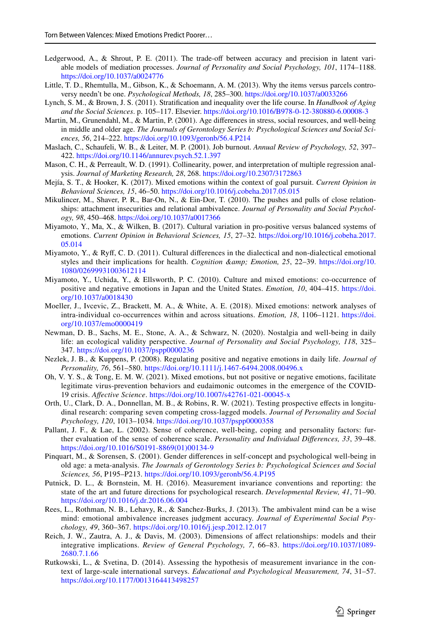- Ledgerwood, A., & Shrout, P. E. (2011). The trade-off between accuracy and precision in latent variable models of mediation processes. *Journal of Personality and Social Psychology, 101*, 1174–1188. <https://doi.org/10.1037/a0024776>
- <span id="page-28-13"></span>Little, T. D., Rhemtulla, M., Gibson, K., & Schoemann, A. M. (2013). Why the items versus parcels controversy needn't be one. *Psychological Methods, 18*, 285–300. <https://doi.org/10.1037/a0033266>
- <span id="page-28-12"></span>Lynch, S. M., & Brown, J. S. (2011). Stratifcation and inequality over the life course. In *Handbook of Aging and the Social Sciences*. p. 105–117. Elsevier. <https://doi.org/10.1016/B978-0-12-380880-6.00008-3>
- <span id="page-28-6"></span>Martin, M., Grunendahl, M., & Martin, P. (2001). Age diferences in stress, social resources, and well-being in middle and older age. *The Journals of Gerontology Series b: Psychological Sciences and Social Sciences, 56*, 214–222. <https://doi.org/10.1093/geronb/56.4.P214>
- <span id="page-28-10"></span>Maslach, C., Schaufeli, W. B., & Leiter, M. P. (2001). Job burnout. *Annual Review of Psychology, 52*, 397– 422. <https://doi.org/10.1146/annurev.psych.52.1.397>
- <span id="page-28-9"></span>Mason, C. H., & Perreault, W. D. (1991). Collinearity, power, and interpretation of multiple regression analysis. *Journal of Marketing Research, 28*, 268. <https://doi.org/10.2307/3172863>
- <span id="page-28-4"></span>Mejía, S. T., & Hooker, K. (2017). Mixed emotions within the context of goal pursuit. *Current Opinion in Behavioral Sciences, 15*, 46–50. <https://doi.org/10.1016/j.cobeha.2017.05.015>
- <span id="page-28-16"></span>Mikulincer, M., Shaver, P. R., Bar-On, N., & Ein-Dor, T. (2010). The pushes and pulls of close relationships: attachment insecurities and relational ambivalence. *Journal of Personality and Social Psychology, 98*, 450–468.<https://doi.org/10.1037/a0017366>
- <span id="page-28-18"></span>Miyamoto, Y., Ma, X., & Wilken, B. (2017). Cultural variation in pro-positive versus balanced systems of emotions. *Current Opinion in Behavioral Sciences, 15*, 27–32. [https://doi.org/10.1016/j.cobeha.2017.](https://doi.org/10.1016/j.cobeha.2017.05.014) [05.014](https://doi.org/10.1016/j.cobeha.2017.05.014)
- <span id="page-28-15"></span>Miyamoto, Y., & Ryf, C. D. (2011). Cultural diferences in the dialectical and non-dialectical emotional styles and their implications for health. *Cognition & amp*; *Emotion*, 25, 22–39. [https://doi.org/10.](https://doi.org/10.1080/02699931003612114) [1080/02699931003612114](https://doi.org/10.1080/02699931003612114)
- <span id="page-28-14"></span>Miyamoto, Y., Uchida, Y., & Ellsworth, P. C. (2010). Culture and mixed emotions: co-occurrence of positive and negative emotions in Japan and the United States. *Emotion, 10*, 404–415. [https://doi.](https://doi.org/10.1037/a0018430) [org/10.1037/a0018430](https://doi.org/10.1037/a0018430)
- <span id="page-28-0"></span>Moeller, J., Ivcevic, Z., Brackett, M. A., & White, A. E. (2018). Mixed emotions: network analyses of intra-individual co-occurrences within and across situations. *Emotion, 18*, 1106–1121. [https://doi.](https://doi.org/10.1037/emo0000419) [org/10.1037/emo0000419](https://doi.org/10.1037/emo0000419)
- <span id="page-28-5"></span>Newman, D. B., Sachs, M. E., Stone, A. A., & Schwarz, N. (2020). Nostalgia and well-being in daily life: an ecological validity perspective. *Journal of Personality and Social Psychology, 118*, 325– 347.<https://doi.org/10.1037/pspp0000236>
- <span id="page-28-8"></span>Nezlek, J. B., & Kuppens, P. (2008). Regulating positive and negative emotions in daily life. *Journal of Personality, 76*, 561–580. <https://doi.org/10.1111/j.1467-6494.2008.00496.x>
- <span id="page-28-2"></span>Oh, V. Y. S., & Tong, E. M. W. (2021). Mixed emotions, but not positive or negative emotions, facilitate legitimate virus-prevention behaviors and eudaimonic outcomes in the emergence of the COVID-19 crisis. *Afective Science*.<https://doi.org/10.1007/s42761-021-00045-x>
- <span id="page-28-11"></span>Orth, U., Clark, D. A., Donnellan, M. B., & Robins, R. W. (2021). Testing prospective efects in longitudinal research: comparing seven competing cross-lagged models. *Journal of Personality and Social Psychology, 120*, 1013–1034.<https://doi.org/10.1037/pspp0000358>
- <span id="page-28-17"></span>Pallant, J. F., & Lae, L. (2002). Sense of coherence, well-being, coping and personality factors: further evaluation of the sense of coherence scale. *Personality and Individual Diferences, 33*, 39–48. [https://doi.org/10.1016/S0191-8869\(01\)00134-9](https://doi.org/10.1016/S0191-8869(01)00134-9)
- <span id="page-28-7"></span>Pinquart, M., & Sorensen, S. (2001). Gender diferences in self-concept and psychological well-being in old age: a meta-analysis. *The Journals of Gerontology Series b: Psychological Sciences and Social Sciences, 56*, P195–P213. <https://doi.org/10.1093/geronb/56.4.P195>
- Putnick, D. L., & Bornstein, M. H. (2016). Measurement invariance conventions and reporting: the state of the art and future directions for psychological research. *Developmental Review, 41*, 71–90. <https://doi.org/10.1016/j.dr.2016.06.004>
- <span id="page-28-1"></span>Rees, L., Rothman, N. B., Lehavy, R., & Sanchez-Burks, J. (2013). The ambivalent mind can be a wise mind: emotional ambivalence increases judgment accuracy. *Journal of Experimental Social Psychology, 49*, 360–367.<https://doi.org/10.1016/j.jesp.2012.12.017>
- <span id="page-28-3"></span>Reich, J. W., Zautra, A. J., & Davis, M. (2003). Dimensions of afect relationships: models and their integrative implications. *Review of General Psychology, 7*, 66–83. [https://doi.org/10.1037/1089-](https://doi.org/10.1037/1089-2680.7.1.66) [2680.7.1.66](https://doi.org/10.1037/1089-2680.7.1.66)
- Rutkowski, L., & Svetina, D. (2014). Assessing the hypothesis of measurement invariance in the context of large-scale international surveys. *Educational and Psychological Measurement, 74*, 31–57. <https://doi.org/10.1177/0013164413498257>